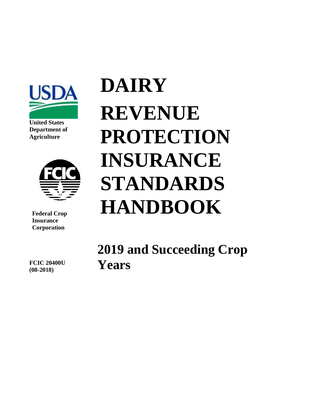

**United States Department of Agriculture**



**Federal Crop Insurance Corporation**

**DAIRY REVENUE PROTECTION INSURANCE STANDARDS HANDBOOK**

**2019 and Succeeding Crop Years**

**FCIC 20400U (08-2018)**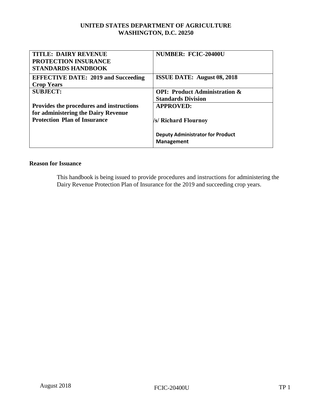# **UNITED STATES DEPARTMENT OF AGRICULTURE WASHINGTON, D.C. 20250**

| <b>TITLE: DAIRY REVENUE</b><br><b>PROTECTION INSURANCE</b><br><b>STANDARDS HANDBOOK</b> | <b>NUMBER: FCIC-20400U</b>                                            |
|-----------------------------------------------------------------------------------------|-----------------------------------------------------------------------|
| <b>EFFECTIVE DATE: 2019 and Succeeding</b><br><b>Crop Years</b>                         | <b>ISSUE DATE:</b> August 08, 2018                                    |
| <b>SUBJECT:</b>                                                                         | <b>OPI: Product Administration &amp;</b><br><b>Standards Division</b> |
| Provides the procedures and instructions<br>for administering the Dairy Revenue         | <b>APPROVED:</b>                                                      |
| <b>Protection Plan of Insurance</b>                                                     | /s/ Richard Flournoy                                                  |
|                                                                                         | <b>Deputy Administrator for Product</b><br><b>Management</b>          |

# **Reason for Issuance**

This handbook is being issued to provide procedures and instructions for administering the Dairy Revenue Protection Plan of Insurance for the 2019 and succeeding crop years.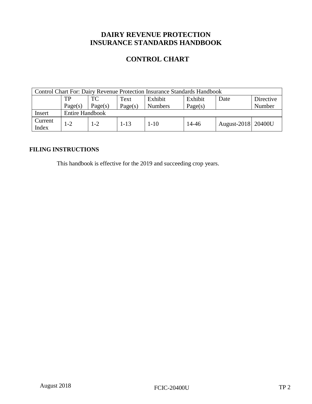# **DAIRY REVENUE PROTECTION INSURANCE STANDARDS HANDBOOK**

# **CONTROL CHART**

| <b>Control Chart For: Dairy Revenue Protection Insurance Standards Handbook</b> |                        |         |          |                |         |                      |           |
|---------------------------------------------------------------------------------|------------------------|---------|----------|----------------|---------|----------------------|-----------|
|                                                                                 | TP                     | TC      | Text     | Exhibit        | Exhibit | Date                 | Directive |
|                                                                                 | Page(s)                | Page(s) | Page(s)  | <b>Numbers</b> | Page(s) |                      | Number    |
| Insert                                                                          | <b>Entire Handbook</b> |         |          |                |         |                      |           |
| Current<br>Index                                                                | $1 - 2$                | $1 - 2$ | $1 - 13$ | $1 - 10$       | 14-46   | August-2018   20400U |           |

# **FILING INSTRUCTIONS**

This handbook is effective for the 2019 and succeeding crop years.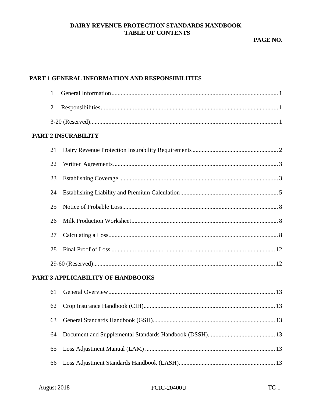# DAIRY REVENUE PROTECTION STANDARDS HANDBOOK **TABLE OF CONTENTS**

PAGE NO.

# PART 1 GENERAL INFORMATION AND RESPONSIBILITIES

| 1              |                                                   |
|----------------|---------------------------------------------------|
| $\overline{2}$ |                                                   |
|                |                                                   |
|                | <b>PART 2 INSURABILITY</b>                        |
| 21             |                                                   |
| 22             |                                                   |
| 23             |                                                   |
| 24             |                                                   |
| 25             |                                                   |
| 26             |                                                   |
| 27             |                                                   |
| 28             |                                                   |
|                |                                                   |
|                | PART 3 APPLICABILITY OF HANDBOOKS                 |
|                | $\sim$ $\sim$ $\sim$ $\sim$ $\sim$<br>$1^{\circ}$ |

| 01 UP UP THE THE VALUE OVER THE RESEARCH TO LATE TO LATE THE RELATION OF THE RELATION OF THE RELATION OF THE R |  |
|----------------------------------------------------------------------------------------------------------------|--|
|                                                                                                                |  |
|                                                                                                                |  |
|                                                                                                                |  |
|                                                                                                                |  |
|                                                                                                                |  |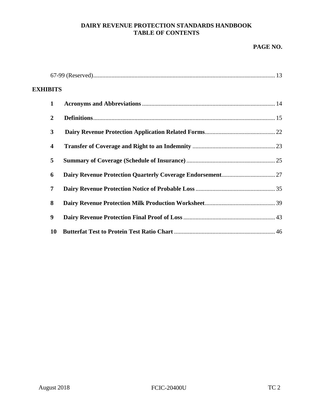# **DAIRY REVENUE PROTECTION STANDARDS HANDBOOK TABLE OF CONTENTS**

# **PAGE NO.**

| <b>EXHIBITS</b> |                         |  |
|-----------------|-------------------------|--|
|                 | $\mathbf{1}$            |  |
|                 | $\overline{2}$          |  |
|                 | 3                       |  |
|                 | $\overline{\mathbf{4}}$ |  |
|                 | 5                       |  |
|                 | 6                       |  |
|                 | 7                       |  |
|                 | 8                       |  |
|                 | 9                       |  |
|                 | 10                      |  |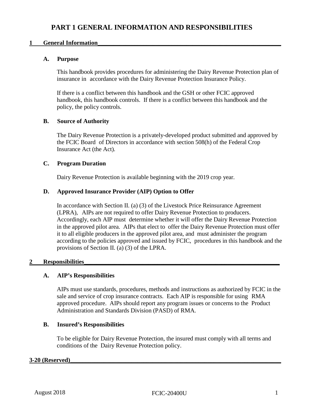# <span id="page-5-0"></span>**1 General Information**

# **A. Purpose**

This handbook provides procedures for administering the Dairy Revenue Protection plan of insurance in accordance with the Dairy Revenue Protection Insurance Policy.

If there is a conflict between this handbook and the GSH or other FCIC approved handbook, this handbook controls. If there is a conflict between this handbook and the policy, the policy controls.

# **B. Source of Authority**

The Dairy Revenue Protection is a privately-developed product submitted and approved by the FCIC Board of Directors in accordance with section 508(h) of the Federal Crop Insurance Act (the Act).

# **C. Program Duration**

Dairy Revenue Protection is available beginning with the 2019 crop year.

# **D. Approved Insurance Provider (AIP) Option to Offer**

In accordance with Section II. (a) (3) of the Livestock Price Reinsurance Agreement (LPRA), AIPs are not required to offer Dairy Revenue Protection to producers. Accordingly, each AIP must determine whether it will offer the Dairy Revenue Protection in the approved pilot area. AIPs that elect to offer the Dairy Revenue Protection must offer it to all eligible producers in the approved pilot area, and must administer the program according to the policies approved and issued by FCIC, procedures in this handbook and the provisions of Section II. (a) (3) of the LPRA.

## <span id="page-5-1"></span>**2 Responsibilities\_\_\_\_\_\_\_\_\_\_\_\_\_\_\_\_\_\_\_\_\_\_\_\_\_\_\_\_\_\_\_\_\_\_\_\_\_\_\_\_\_\_\_\_\_\_\_\_\_\_\_\_\_\_\_\_\_\_\_\_\_\_\_\_**

# **A. AIP's Responsibilities**

AIPs must use standards, procedures, methods and instructions as authorized by FCIC in the sale and service of crop insurance contracts. Each AIP is responsible for using RMA approved procedure. AIPs should report any program issues or concerns to the Product Administration and Standards Division (PASD) of RMA.

## **B. Insured's Responsibilities**

To be eligible for Dairy Revenue Protection, the insured must comply with all terms and conditions of the Dairy Revenue Protection policy.

## <span id="page-5-2"></span>**3-20 (Reserved)\_\_\_\_\_\_\_\_\_\_\_\_\_\_\_\_\_\_\_\_\_\_\_\_\_\_\_\_\_\_\_\_\_\_\_\_\_\_\_\_\_\_\_\_\_\_\_\_\_\_\_\_\_\_\_\_\_\_\_\_\_\_\_\_\_\_\_\_\_**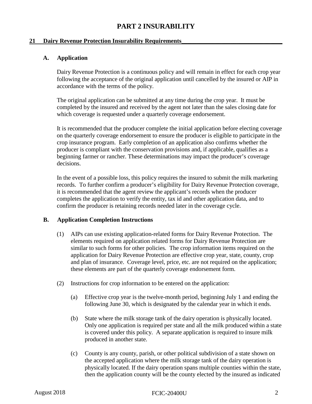# **PART 2 INSURABILITY**

# <span id="page-6-1"></span><span id="page-6-0"></span>**21 Dairy Revenue Protection Insurability Requirements\_\_\_\_\_\_\_\_\_\_\_\_\_\_\_\_\_\_\_\_\_\_\_\_\_\_\_\_\_\_\_\_\_**

# **A. Application**

Dairy Revenue Protection is a continuous policy and will remain in effect for each crop year following the acceptance of the original application until cancelled by the insured or AIP in accordance with the terms of the policy.

The original application can be submitted at any time during the crop year. It must be completed by the insured and received by the agent not later than the sales closing date for which coverage is requested under a quarterly coverage endorsement.

It is recommended that the producer complete the initial application before electing coverage on the quarterly coverage endorsement to ensure the producer is eligible to participate in the crop insurance program. Early completion of an application also confirms whether the producer is compliant with the conservation provisions and, if applicable, qualifies as a beginning farmer or rancher. These determinations may impact the producer's coverage decisions.

In the event of a possible loss, this policy requires the insured to submit the milk marketing records. To further confirm a producer's eligibility for Dairy Revenue Protection coverage, it is recommended that the agent review the applicant's records when the producer completes the application to verify the entity, tax id and other application data, and to confirm the producer is retaining records needed later in the coverage cycle.

## **B. Application Completion Instructions**

- (1) AIPs can use existing application-related forms for Dairy Revenue Protection. The elements required on application related forms for Dairy Revenue Protection are similar to such forms for other policies. The crop information items required on the application for Dairy Revenue Protection are effective crop year, state, county, crop and plan of insurance. Coverage level, price, etc. are not required on the application; these elements are part of the quarterly coverage endorsement form.
- (2) Instructions for crop information to be entered on the application:
	- (a) Effective crop year is the twelve-month period, beginning July 1 and ending the following June 30, which is designated by the calendar year in which it ends.
	- (b) State where the milk storage tank of the dairy operation is physically located. Only one application is required per state and all the milk produced within a state is covered under this policy. A separate application is required to insure milk produced in another state.
	- (c) County is any county, parish, or other political subdivision of a state shown on the accepted application where the milk storage tank of the dairy operation is physically located. If the dairy operation spans multiple counties within the state, then the application county will be the county elected by the insured as indicated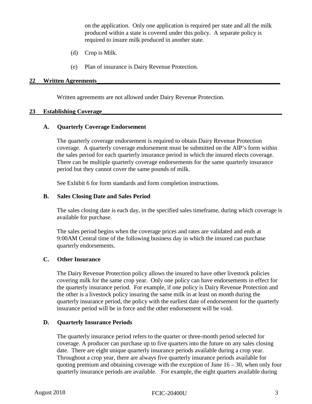on the application. Only one application is required per state and all the milk produced within a state is covered under this policy. A separate policy is required to insure milk produced in another state.

- (d) Crop is Milk.
- (e) Plan of insurance is Dairy Revenue Protection.

#### <span id="page-7-0"></span>**22 Written Agreements\_\_\_\_\_\_\_\_\_\_\_\_\_\_\_\_\_\_\_\_\_\_\_\_\_\_\_\_\_\_\_\_\_\_\_\_\_\_\_\_\_\_\_\_\_\_\_\_\_\_\_\_\_\_\_\_\_\_\_\_**

Written agreements are not allowed under Dairy Revenue Protection.

#### <span id="page-7-1"></span>23 **Establishing Coverage**

## **A. Quarterly Coverage Endorsement**

The quarterly coverage endorsement is required to obtain Dairy Revenue Protection coverage. A quarterly coverage endorsement must be submitted on the AIP's form within the sales period for each quarterly insurance period in which the insured elects coverage. There can be multiple quarterly coverage endorsements for the same quarterly insurance period but they cannot cover the same pounds of milk.

See Exhibit 6 for form standards and form completion instructions.

#### **B. Sales Closing Date and Sales Period**

The sales closing date is each day, in the specified sales timeframe, during which coverage is available for purchase.

The sales period begins when the coverage prices and rates are validated and ends at 9:00AM Central time of the following business day in which the insured can purchase quarterly endorsements.

## **C. Other Insurance**

The Dairy Revenue Protection policy allows the insured to have other livestock policies covering milk for the same crop year. Only one policy can have endorsements in effect for the quarterly insurance period. For example, if one policy is Dairy Revenue Protection and the other is a livestock policy insuring the same milk in at least on month during the quarterly insurance period, the policy with the earliest date of endorsement for the quarterly insurance period will be in force and the other endorsement will be void.

## **D. Quarterly Insurance Periods**

The quarterly insurance period refers to the quarter or three-month period selected for coverage. A producer can purchase up to five quarters into the future on any sales closing date. There are eight unique quarterly insurance periods available during a crop year. Throughout a crop year, there are always five quarterly insurance periods available for quoting premium and obtaining coverage with the exception of June  $16 - 30$ , when only four quarterly insurance periods are available. For example, the eight quarters available during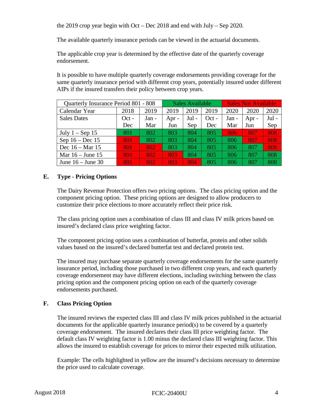the 2019 crop year begin with Oct – Dec 2018 and end with July – Sep 2020.

The available quarterly insurance periods can be viewed in the actuarial documents.

The applicable crop year is determined by the effective date of the quarterly coverage endorsement.

It is possible to have multiple quarterly coverage endorsements providing coverage for the same quarterly insurance period with different crop years, potentially insured under different AIPs if the insured transfers their policy between crop years.

| Quarterly Insurance Period 801 - 808 |         |       | Sales Available |       | <b>Sales Not Available</b> |       |       |       |
|--------------------------------------|---------|-------|-----------------|-------|----------------------------|-------|-------|-------|
| Calendar Year                        | 2018    | 2019  | 2019            | 2019  | 2019                       | 2020  | 2020  | 2020  |
| <b>Sales Dates</b>                   | $Oct -$ | Jan - | Apr $-$         | Jul - | $Oct -$                    | Jan - | Apr - | Jul - |
|                                      | Dec     | Mar   | Jun             | Sep   | Dec                        | Mar   | Jun   | Sep   |
| July $1 -$ Sep 15                    | 801     | 802   | 803             | 804   | 805                        | 806   | 807   | 808   |
| Sep $16 - Dec 15$                    | 801     | 802   | 803             | 804   | 805                        | 806   | 807   | 808   |
| Dec 16 – Mar 15                      | 801     | 802   | 803             | 804   | 805                        | 806   | 807   | 808   |
| Mar $16 -$ June 15                   | 801     | 802   | 803             | 804   | 805                        | 806   | 807   | 808   |
| June $16 -$ June 30                  | 801     | 802   | 803             | 804   | 805                        | 806   | 807   | 808   |

# **E. Type - Pricing Options**

The Dairy Revenue Protection offers two pricing options. The class pricing option and the component pricing option. These pricing options are designed to allow producers to customize their price elections to more accurately reflect their price risk.

The class pricing option uses a combination of class III and class IV milk prices based on insured's declared class price weighting factor.

The component pricing option uses a combination of butterfat, protein and other solids values based on the insured's declared butterfat test and declared protein test.

The insured may purchase separate quarterly coverage endorsements for the same quarterly insurance period, including those purchased in two different crop years, and each quarterly coverage endorsement may have different elections, including switching between the class pricing option and the component pricing option on each of the quarterly coverage endorsements purchased.

# **F. Class Pricing Option**

The insured reviews the expected class III and class IV milk prices published in the actuarial documents for the applicable quarterly insurance period(s) to be covered by a quarterly coverage endorsement. The insured declares their class III price weighting factor. The default class IV weighting factor is 1.00 minus the declared class III weighting factor. This allows the insured to establish coverage for prices to mirror their expected milk utilization.

Example: The cells highlighted in yellow are the insured's decisions necessary to determine the price used to calculate coverage.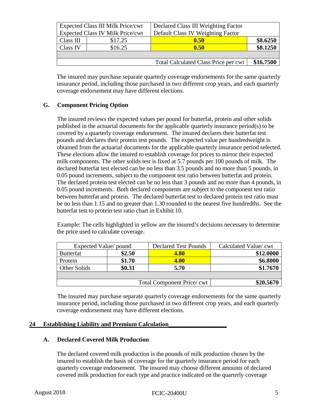| <b>Expected Class III Milk Price/cwt</b>    |         | Declared Class III Weighting Factor |           |
|---------------------------------------------|---------|-------------------------------------|-----------|
| <b>Expected Class IV Milk Price/cwt</b>     |         | Default Class IV Weighting Factor   |           |
| Class III                                   | \$17.25 | 0.50                                | \$8.6250  |
| Class IV                                    | \$16.25 | 0.50                                | \$8.1250  |
|                                             |         |                                     |           |
| <b>Total Calculated Class Price per cwt</b> |         |                                     | \$16.7500 |
|                                             |         |                                     |           |

The insured may purchase separate quarterly coverage endorsements for the same quarterly insurance period, including those purchased in two different crop years, and each quarterly coverage endorsement may have different elections.

# **G. Component Pricing Option**

The insured reviews the expected values per pound for butterfat, protein and other solids published in the actuarial documents for the applicable quarterly insurance period(s) to be covered by a quarterly coverage endorsement. The insured declares their butterfat test pounds and declares their protein test pounds. The expected value per hundredweight is obtained from the actuarial documents for the applicable quarterly insurance period selected. These elections allow the insured to establish coverage for prices to mirror their expected milk components. The other solids test is fixed at 5.7 pounds per 100 pounds of milk. The declared butterfat test elected can be no less than 3.5 pounds and no more than 5 pounds, in 0.05 pound increments, subject to the component test ratio between butterfat and protein. The declared protein test elected can be no less than 3 pounds and no more than 4 pounds, in 0.05 pound increments. Both declared components are subject to the component test ratio between butterfat and protein. The declared butterfat test to declared protein test ratio must be no less than 1.15 and no greater than 1.30 rounded to the nearest five hundredths. See the butterfat test to protein test ratio chart in Exhibit 10.

Example: The cells highlighted in yellow are the insured's decisions necessary to determine the price used to calculate coverage.

| Expected Value/ pound                  |        | <b>Declared Test Pounds</b> | Calculated Value/ cwt |  |
|----------------------------------------|--------|-----------------------------|-----------------------|--|
| <b>Butterfat</b>                       | \$2.50 | <b>4.80</b>                 | \$12.0000             |  |
| Protein                                | \$1.70 | <b>4.00</b>                 | \$6.8000              |  |
| Other Solids                           | \$0.31 | 5.70                        | \$1.7670              |  |
|                                        |        |                             |                       |  |
| \$20.5670<br>Total Component Price/cwt |        |                             |                       |  |

The insured may purchase separate quarterly coverage endorsements for the same quarterly insurance period, including those purchased in two different crop years, and each quarterly coverage endorsement may have different elections.

## <span id="page-9-0"></span>**24 Establishing Liability and Premium Calculation\_\_\_\_\_\_\_\_\_\_\_\_\_\_\_\_\_\_\_**

## **A. Declared Covered Milk Production**

The declared covered milk production is the pounds of milk production chosen by the insured to establish the basis of coverage for the quarterly insurance period for each quarterly coverage endorsement. The insured may choose different amounts of declared covered milk production for each type and practice indicated on the quarterly coverage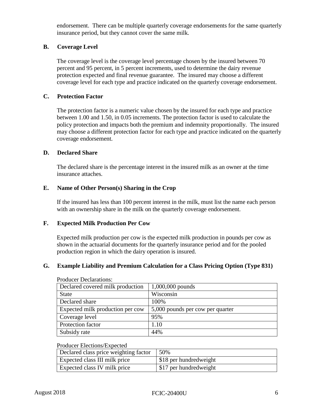endorsement. There can be multiple quarterly coverage endorsements for the same quarterly insurance period, but they cannot cover the same milk.

# **B. Coverage Level**

The coverage level is the coverage level percentage chosen by the insured between 70 percent and 95 percent, in 5 percent increments, used to determine the dairy revenue protection expected and final revenue guarantee. The insured may choose a different coverage level for each type and practice indicated on the quarterly coverage endorsement.

## **C. Protection Factor**

The protection factor is a numeric value chosen by the insured for each type and practice between 1.00 and 1.50, in 0.05 increments. The protection factor is used to calculate the policy protection and impacts both the premium and indemnity proportionally. The insured may choose a different protection factor for each type and practice indicated on the quarterly coverage endorsement.

## **D. Declared Share**

The declared share is the percentage interest in the insured milk as an owner at the time insurance attaches.

# **E. Name of Other Person(s) Sharing in the Crop**

If the insured has less than 100 percent interest in the milk, must list the name each person with an ownership share in the milk on the quarterly coverage endorsement.

## **F. Expected Milk Production Per Cow**

Expected milk production per cow is the expected milk production in pounds per cow as shown in the actuarial documents for the quarterly insurance period and for the pooled production region in which the dairy operation is insured.

# **G. Example Liability and Premium Calculation for a Class Pricing Option (Type 831)**

| Declared covered milk production | $1,000,000$ pounds               |
|----------------------------------|----------------------------------|
| <b>State</b>                     | Wisconsin                        |
| Declared share                   | 100%                             |
| Expected milk production per cow | 5,000 pounds per cow per quarter |
| Coverage level                   | 95%                              |
| Protection factor                | 1.10                             |
| Subsidy rate                     | 44%                              |

Producer Declarations:

#### Producer Elections/Expected

| Declared class price weighting factor | 50%                    |
|---------------------------------------|------------------------|
| <b>Expected class III milk price</b>  | \$18 per hundredweight |
| <b>Expected class IV milk price</b>   | \$17 per hundredweight |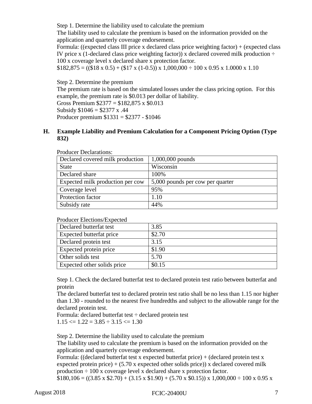Step 1. Determine the liability used to calculate the premium

The liability used to calculate the premium is based on the information provided on the application and quarterly coverage endorsement.

Formula: ((expected class III price x declared class price weighting factor) + (expected class IV price x (1-declared class price weighting factor)) x declared covered milk production  $\div$ 100 x coverage level x declared share x protection factor.

 $$182,875 = (($18 x 0.5) + ($17 x (1-0.5)) x 1,000,000 \div 100 x 0.95 x 1.0000 x 1.10$ 

Step 2. Determine the premium

The premium rate is based on the simulated losses under the class pricing option. For this example, the premium rate is \$0.013 per dollar of liability. Gross Premium  $$2377 = $182,875 \times $0.013$ 

Subsidy  $$1046 = $2377 \times .44$ 

Producer premium \$1331 = \$2377 - \$1046

# **H. Example Liability and Premium Calculation for a Component Pricing Option (Type 832)**

| Declared covered milk production | $1,000,000$ pounds               |
|----------------------------------|----------------------------------|
| <b>State</b>                     | Wisconsin                        |
| Declared share                   | 100%                             |
| Expected milk production per cow | 5,000 pounds per cow per quarter |
| Coverage level                   | 95%                              |
| Protection factor                | 1.10                             |
| Subsidy rate                     | 44%                              |

Producer Declarations:

| Declared butterfat test     | 3.85   |
|-----------------------------|--------|
| Expected butterfat price    | \$2.70 |
| Declared protein test       | 3.15   |
| Expected protein price      | \$1.90 |
| Other solids test           | 5.70   |
| Expected other solids price | \$0.15 |

Producer Elections/Expected

Step 1. Check the declared butterfat test to declared protein test ratio between butterfat and protein

The declared butterfat test to declared protein test ratio shall be no less than 1.15 nor higher than 1.30 - rounded to the nearest five hundredths and subject to the allowable range for the declared protein test.

Formula: declared butterfat test ÷ declared protein test  $1.15 \leq 1.22 = 3.85 \div 3.15 \leq 1.30$ 

Step 2. Determine the liability used to calculate the premium

The liability used to calculate the premium is based on the information provided on the application and quarterly coverage endorsement.

Formula: ((declared butterfat test x expected butterfat price) + (declared protein test x expected protein price)  $+ (5.70 \text{ x expected other solids price})$  x declared covered milk production  $\div 100$  x coverage level x declared share x protection factor.

 $$180,106 = ((3.85 \times $2.70) + (3.15 \times $1.90) + (5.70 \times $0.15)) \times 1,000,000 \div 100 \times 0.95 \times$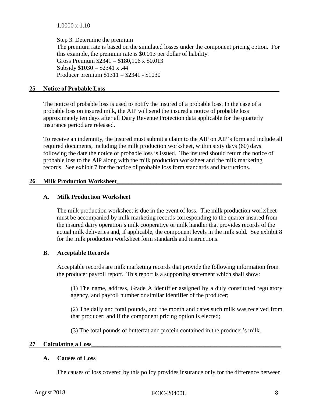1.0000 x 1.10

Step 3. Determine the premium The premium rate is based on the simulated losses under the component pricing option. For this example, the premium rate is \$0.013 per dollar of liability. Gross Premium  $$2341 = $180,106 \times $0.013$ Subsidy  $$1030 = $2341 \times .44$ Producer premium \$1311 = \$2341 - \$1030

#### <span id="page-12-0"></span>**25 Notice of Probable Loss\_\_\_\_\_\_\_\_\_\_\_\_\_\_\_\_\_\_\_\_\_\_\_\_\_\_\_\_\_\_\_\_\_\_\_\_\_\_\_\_\_\_\_\_\_\_\_\_\_\_\_\_\_\_\_\_\_**

The notice of probable loss is used to notify the insured of a probable loss. In the case of a probable loss on insured milk, the AIP will send the insured a notice of probable loss approximately ten days after all Dairy Revenue Protection data applicable for the quarterly insurance period are released.

To receive an indemnity, the insured must submit a claim to the AIP on AIP's form and include all required documents, including the milk production worksheet, within sixty days (60) days following the date the notice of probable loss is issued. The insured should return the notice of probable loss to the AIP along with the milk production worksheet and the milk marketing records. See exhibit 7 for the notice of probable loss form standards and instructions.

## <span id="page-12-1"></span>26 **Milk Production Worksheet**

## **A. Milk Production Worksheet**

The milk production worksheet is due in the event of loss. The milk production worksheet must be accompanied by milk marketing records corresponding to the quarter insured from the insured dairy operation's milk cooperative or milk handler that provides records of the actual milk deliveries and, if applicable, the component levels in the milk sold. See exhibit 8 for the milk production worksheet form standards and instructions.

## **B. Acceptable Records**

Acceptable records are milk marketing records that provide the following information from the producer payroll report. This report is a supporting statement which shall show:

(1) The name, address, Grade A identifier assigned by a duly constituted regulatory agency, and payroll number or similar identifier of the producer;

(2) The daily and total pounds, and the month and dates such milk was received from that producer; and if the component pricing option is elected;

(3) The total pounds of butterfat and protein contained in the producer's milk.

## <span id="page-12-2"></span>**27 Calculating a Loss\_\_\_\_\_\_\_\_\_\_\_\_\_\_\_\_\_\_\_\_\_\_\_\_\_\_\_\_\_\_\_\_\_\_\_\_\_\_\_\_\_\_\_\_\_\_\_\_\_\_\_\_\_\_\_\_\_\_\_\_\_\_**

## **A. Causes of Loss**

The causes of loss covered by this policy provides insurance only for the difference between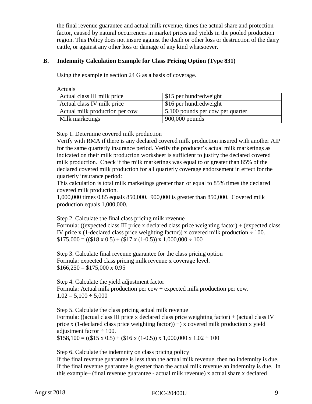the final revenue guarantee and actual milk revenue, times the actual share and protection factor, caused by natural occurrences in market prices and yields in the pooled production region. This Policy does not insure against the death or other loss or destruction of the dairy cattle, or against any other loss or damage of any kind whatsoever.

# **B. Indemnity Calculation Example for Class Pricing Option (Type 831)**

Using the example in section 24 G as a basis of coverage.

Actuals

| Actual class III milk price    | \$15 per hundredweight                   |
|--------------------------------|------------------------------------------|
| Actual class IV milk price     | \$16 per hundredweight                   |
| Actual milk production per cow | $\vert 5,100$ pounds per cow per quarter |
| Milk marketings                | $900,000$ pounds                         |

Step 1. Determine covered milk production

Verify with RMA if there is any declared covered milk production insured with another AIP for the same quarterly insurance period. Verify the producer's actual milk marketings as indicated on their milk production worksheet is sufficient to justify the declared covered milk production. Check if the milk marketings was equal to or greater than 85% of the declared covered milk production for all quarterly coverage endorsement in effect for the quarterly insurance period:

This calculation is total milk marketings greater than or equal to 85% times the declared covered milk production.

1,000,000 times 0.85 equals 850,000. 900,000 is greater than 850,000. Covered milk production equals 1,000,000.

Step 2. Calculate the final class pricing milk revenue

Formula: ((expected class III price x declared class price weighting factor) + (expected class IV price x (1-declared class price weighting factor)) x covered milk production  $\div$  100.  $$175,000 = (($18 x 0.5) + ($17 x (1-0.5)) x 1,000,000 \div 100$ 

Step 3. Calculate final revenue guarantee for the class pricing option Formula: expected class pricing milk revenue x coverage level.  $$166,250 = $175,000 \times 0.95$ 

Step 4. Calculate the yield adjustment factor Formula: Actual milk production per  $\text{row} \div \text{expected}$  milk production per cow.  $1.02 = 5{,}100 \div 5{,}000$ 

Step 5. Calculate the class pricing actual milk revenue Formula: ((actual class III price x declared class price weighting factor) + (actual class IV price x (1-declared class price weighting factor))  $+$ ) x covered milk production x yield adjustment factor  $\div$  100.  $$158,100 = ((\$15 \times 0.5) + (\$16 \times (1-0.5)) \times 1,000,000 \times 1.02 \div 100$ 

Step 6. Calculate the indemnity on class pricing policy

If the final revenue guarantee is less than the actual milk revenue, then no indemnity is due. If the final revenue guarantee is greater than the actual milk revenue an indemnity is due. In this example– (final revenue guarantee - actual milk revenue) x actual share x declared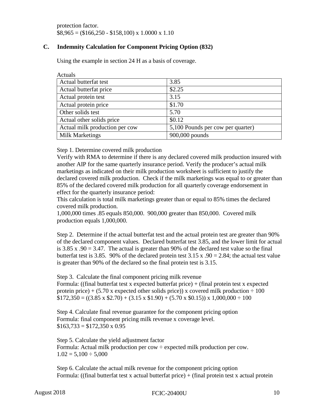protection factor.  $$8,965 = ($166,250 - $158,100) \times 1.0000 \times 1.10$ 

# **C. Indemnity Calculation for Component Pricing Option (832)**

Using the example in section 24 H as a basis of coverage.

| Actuals                        |                                   |
|--------------------------------|-----------------------------------|
| Actual butterfat test          | 3.85                              |
| Actual butterfat price         | \$2.25                            |
| Actual protein test            | 3.15                              |
| Actual protein price           | \$1.70                            |
| Other solids test              | 5.70                              |
| Actual other solids price      | \$0.12                            |
| Actual milk production per cow | 5,100 Pounds per cow per quarter) |
| <b>Milk Marketings</b>         | 900,000 pounds                    |

Step 1. Determine covered milk production

Verify with RMA to determine if there is any declared covered milk production insured with another AIP for the same quarterly insurance period. Verify the producer's actual milk marketings as indicated on their milk production worksheet is sufficient to justify the declared covered milk production. Check if the milk marketings was equal to or greater than 85% of the declared covered milk production for all quarterly coverage endorsement in effect for the quarterly insurance period:

This calculation is total milk marketings greater than or equal to 85% times the declared covered milk production.

1,000,000 times .85 equals 850,000. 900,000 greater than 850,000. Covered milk production equals 1,000,000.

Step 2. Determine if the actual butterfat test and the actual protein test are greater than 90% of the declared component values. Declared butterfat test 3.85, and the lower limit for actual is 3.85 x .90 = 3.47. The actual is greater than 90% of the declared test value so the final butterfat test is 3.85. 90% of the declared protein test 3.15 x .90 = 2.84; the actual test value is greater than 90% of the declared so the final protein test is 3.15.

Step 3. Calculate the final component pricing milk revenue

Formula: ((final butterfat test x expected butterfat price) + (final protein test x expected protein price) + (5.70 x expected other solids price)) x covered milk production  $\div 100$  $$172,350 = ((3.85 \times $2.70) + (3.15 \times $1.90) + (5.70 \times $0.15)) \times 1,000,000 \div 100$ 

Step 4. Calculate final revenue guarantee for the component pricing option Formula: final component pricing milk revenue x coverage level.  $$163,733 = $172,350 \times 0.95$ 

Step 5. Calculate the yield adjustment factor Formula: Actual milk production per  $\text{row} \div \text{expected}$  milk production per cow.  $1.02 = 5{,}100 \div 5{,}000$ 

Step 6. Calculate the actual milk revenue for the component pricing option Formula: ((final butterfat test x actual butterfat price) + (final protein test x actual protein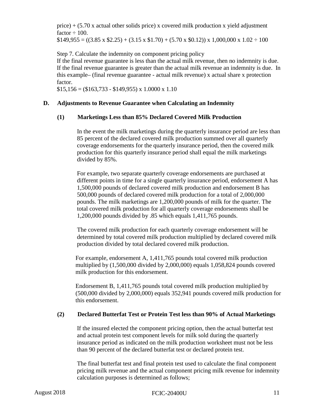price)  $+$  (5.70 x actual other solids price) x covered milk production x yield adjustment factor  $\div 100$ .

 $$149,955 = ((3.85 \times $2.25) + (3.15 \times $1.70) + (5.70 \times $0.12)) \times 1,000,000 \times 1.02 \div 100$ 

Step 7. Calculate the indemnity on component pricing policy

If the final revenue guarantee is less than the actual milk revenue, then no indemnity is due. If the final revenue guarantee is greater than the actual milk revenue an indemnity is due. In this example– (final revenue guarantee - actual milk revenue) x actual share x protection factor.

 $$15,156 = ($163,733 - $149,955) \times 1.0000 \times 1.10$ 

# **D. Adjustments to Revenue Guarantee when Calculating an Indemnity**

# **(1) Marketings Less than 85% Declared Covered Milk Production**

In the event the milk marketings during the quarterly insurance period are less than 85 percent of the declared covered milk production summed over all quarterly coverage endorsements for the quarterly insurance period, then the covered milk production for this quarterly insurance period shall equal the milk marketings divided by 85%.

For example, two separate quarterly coverage endorsements are purchased at different points in time for a single quarterly insurance period, endorsement A has 1,500,000 pounds of declared covered milk production and endorsement B has 500,000 pounds of declared covered milk production for a total of 2,000,000 pounds. The milk marketings are 1,200,000 pounds of milk for the quarter. The total covered milk production for all quarterly coverage endorsements shall be 1,200,000 pounds divided by .85 which equals 1,411,765 pounds.

The covered milk production for each quarterly coverage endorsement will be determined by total covered milk production multiplied by declared covered milk production divided by total declared covered milk production.

For example, endorsement A, 1,411,765 pounds total covered milk production multiplied by (1,500,000 divided by 2,000,000) equals 1,058,824 pounds covered milk production for this endorsement.

Endorsement B, 1,411,765 pounds total covered milk production multiplied by (500,000 divided by 2,000,000) equals 352,941 pounds covered milk production for this endorsement.

# **(2) Declared Butterfat Test or Protein Test less than 90% of Actual Marketings**

If the insured elected the component pricing option, then the actual butterfat test and actual protein test component levels for milk sold during the quarterly insurance period as indicated on the milk production worksheet must not be less than 90 percent of the declared butterfat test or declared protein test.

The final butterfat test and final protein test used to calculate the final component pricing milk revenue and the actual component pricing milk revenue for indemnity calculation purposes is determined as follows;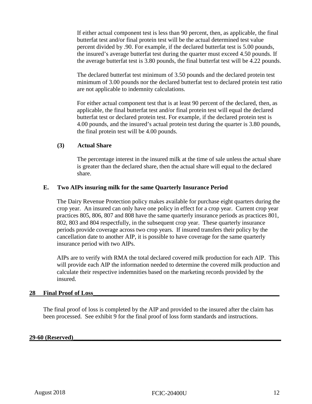If either actual component test is less than 90 percent, then, as applicable, the final butterfat test and/or final protein test will be the actual determined test value percent divided by .90. For example, if the declared butterfat test is 5.00 pounds, the insured's average butterfat test during the quarter must exceed 4.50 pounds. If the average butterfat test is 3.80 pounds, the final butterfat test will be 4.22 pounds.

The declared butterfat test minimum of 3.50 pounds and the declared protein test minimum of 3.00 pounds nor the declared butterfat test to declared protein test ratio are not applicable to indemnity calculations.

For either actual component test that is at least 90 percent of the declared, then, as applicable, the final butterfat test and/or final protein test will equal the declared butterfat test or declared protein test. For example, if the declared protein test is 4.00 pounds, and the insured's actual protein test during the quarter is 3.80 pounds, the final protein test will be 4.00 pounds.

## **(3) Actual Share**

The percentage interest in the insured milk at the time of sale unless the actual share is greater than the declared share, then the actual share will equal to the declared share.

## **E. Two AIPs insuring milk for the same Quarterly Insurance Period**

The Dairy Revenue Protection policy makes available for purchase eight quarters during the crop year. An insured can only have one policy in effect for a crop year. Current crop year practices 805, 806, 807 and 808 have the same quarterly insurance periods as practices 801, 802, 803 and 804 respectfully, in the subsequent crop year. These quarterly insurance periods provide coverage across two crop years. If insured transfers their policy by the cancellation date to another AIP, it is possible to have coverage for the same quarterly insurance period with two AIPs.

AIPs are to verify with RMA the total declared covered milk production for each AIP. This will provide each AIP the information needed to determine the covered milk production and calculate their respective indemnities based on the marketing records provided by the insured.

## <span id="page-16-0"></span>28 **Final Proof of Loss**

The final proof of loss is completed by the AIP and provided to the insured after the claim has been processed. See exhibit 9 for the final proof of loss form standards and instructions.

#### <span id="page-16-1"></span>**29-60 (Reserved)\_\_\_\_\_\_\_\_\_\_\_\_\_\_\_\_\_\_\_\_\_\_\_\_\_\_\_\_\_\_\_\_\_\_\_\_\_\_\_\_\_\_\_\_\_\_\_\_\_\_\_\_\_\_\_\_\_\_\_\_\_\_\_\_\_\_\_\_**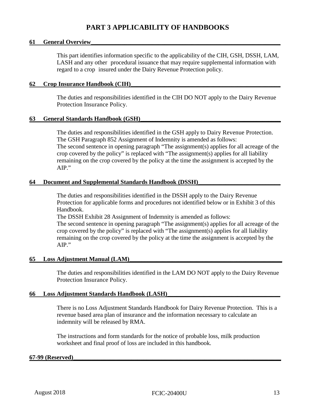# **PART 3 APPLICABILITY OF HANDBOOKS**

#### <span id="page-17-1"></span><span id="page-17-0"></span>**61** General Overview

This part identifies information specific to the applicability of the CIH, GSH, DSSH, LAM, LASH and any other procedural issuance that may require supplemental information with regard to a crop insured under the Dairy Revenue Protection policy.

#### <span id="page-17-2"></span>**62 Crop Insurance Handbook (CIH)\_\_\_\_\_\_\_\_\_\_\_\_\_\_\_\_\_\_\_\_\_\_\_\_\_\_\_\_\_\_\_\_\_\_\_\_\_\_\_\_\_\_\_\_\_\_\_\_\_**

The duties and responsibilities identified in the CIH DO NOT apply to the Dairy Revenue Protection Insurance Policy.

#### <span id="page-17-3"></span>**63 General Standards Handbook (GSH)\_\_\_\_\_\_\_\_\_\_\_\_\_\_\_\_\_\_\_\_\_\_\_\_\_\_\_\_\_\_\_\_\_\_\_\_\_\_\_\_\_\_\_\_\_\_**

The duties and responsibilities identified in the GSH apply to Dairy Revenue Protection. The GSH Paragraph 852 Assignment of Indemnity is amended as follows: The second sentence in opening paragraph "The assignment(s) applies for all acreage of the crop covered by the policy" is replaced with "The assignment(s) applies for all liability remaining on the crop covered by the policy at the time the assignment is accepted by the AIP."

#### <span id="page-17-4"></span>**64 Document and Supplemental Standards Handbook (DSSH)\_\_\_\_\_\_\_\_\_\_\_\_\_\_\_\_\_\_\_\_\_\_\_\_\_\_\_**

The duties and responsibilities identified in the DSSH apply to the Dairy Revenue Protection for applicable forms and procedures not identified below or in Exhibit 3 of this Handbook.

The DSSH Exhibit 28 Assignment of Indemnity is amended as follows: The second sentence in opening paragraph "The assignment(s) applies for all acreage of the crop covered by the policy" is replaced with "The assignment(s) applies for all liability remaining on the crop covered by the policy at the time the assignment is accepted by the AIP."

#### <span id="page-17-5"></span>**65 Loss Adjustment Manual (LAM)\_\_\_\_\_\_\_\_\_\_\_\_\_\_\_\_\_\_\_\_\_\_\_\_\_\_\_\_\_\_\_\_\_\_\_\_\_\_\_\_\_\_\_\_\_\_\_\_\_\_**

The duties and responsibilities identified in the LAM DO NOT apply to the Dairy Revenue Protection Insurance Policy.

#### <span id="page-17-6"></span>**66 Loss Adjustment Standards Handbook (LASH)\_\_\_\_\_\_\_\_\_\_\_\_\_\_\_\_\_\_\_\_\_\_\_\_\_\_\_\_\_\_\_\_\_\_\_\_\_**

There is no Loss Adjustment Standards Handbook for Dairy Revenue Protection. This is a revenue based area plan of insurance and the information necessary to calculate an indemnity will be released by RMA.

The instructions and form standards for the notice of probable loss, milk production worksheet and final proof of loss are included in this handbook.

#### <span id="page-17-7"></span>**67-99 (Reserved)\_\_\_\_\_\_\_\_\_\_\_\_\_\_\_\_\_\_\_\_\_\_\_\_\_\_\_\_\_\_\_\_\_\_\_\_\_\_\_\_\_\_\_\_\_\_\_\_\_\_\_\_\_\_\_\_\_\_\_\_\_\_\_\_\_\_\_\_**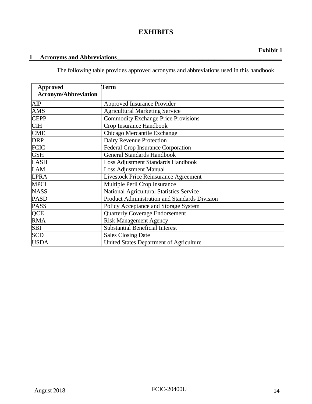# **EXHIBITS**

# <span id="page-18-1"></span><span id="page-18-0"></span>**1 Acronyms and Abbreviations\_\_\_\_\_\_\_\_\_\_\_\_\_\_\_\_\_\_\_\_\_\_\_\_\_\_\_\_\_\_\_\_\_\_\_\_\_\_\_\_\_\_\_\_\_\_\_\_\_\_\_\_\_\_**

The following table provides approved acronyms and abbreviations used in this handbook.

| <b>Approved</b><br><b>Acronym/Abbreviation</b> | Term                                          |
|------------------------------------------------|-----------------------------------------------|
|                                                |                                               |
| AIP                                            | <b>Approved Insurance Provider</b>            |
| <b>AMS</b>                                     | <b>Agricultural Marketing Service</b>         |
| <b>CEPP</b>                                    | <b>Commodity Exchange Price Provisions</b>    |
| <b>CIH</b>                                     | Crop Insurance Handbook                       |
| <b>CME</b>                                     | Chicago Mercantile Exchange                   |
| <b>DRP</b>                                     | Dairy Revenue Protection                      |
| <b>FCIC</b>                                    | <b>Federal Crop Insurance Corporation</b>     |
| <b>GSH</b>                                     | <b>General Standards Handbook</b>             |
| <b>LASH</b>                                    | <b>Loss Adjustment Standards Handbook</b>     |
| <b>LAM</b>                                     | <b>Loss Adjustment Manual</b>                 |
| <b>LPRA</b>                                    | <b>Livestock Price Reinsurance Agreement</b>  |
| <b>MPCI</b>                                    | Multiple Peril Crop Insurance                 |
| <b>NASS</b>                                    | National Agricultural Statistics Service      |
| <b>PASD</b>                                    | Product Administration and Standards Division |
| <b>PASS</b>                                    | Policy Acceptance and Storage System          |
| QCE                                            | <b>Quarterly Coverage Endorsement</b>         |
| <b>RMA</b>                                     | <b>Risk Management Agency</b>                 |
| SBI                                            | <b>Substantial Beneficial Interest</b>        |
| <b>SCD</b>                                     | <b>Sales Closing Date</b>                     |
| <b>USDA</b>                                    | United States Department of Agriculture       |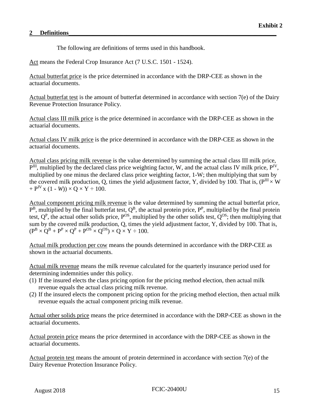#### <span id="page-19-0"></span>2 Definitions

The following are definitions of terms used in this handbook.

Act means the Federal Crop Insurance Act (7 U.S.C. 1501 - 1524).

Actual butterfat price is the price determined in accordance with the DRP-CEE as shown in the actuarial documents.

Actual butterfat test is the amount of butterfat determined in accordance with section 7(e) of the Dairy Revenue Protection Insurance Policy.

Actual class III milk price is the price determined in accordance with the DRP-CEE as shown in the actuarial documents.

Actual class IV milk price is the price determined in accordance with the DRP-CEE as shown in the actuarial documents.

Actual class pricing milk revenue is the value determined by summing the actual class III milk price,  $\overline{P}^{III}$ , multiplied by the declared class price weighting factor, W, and the actual class IV milk price,  $P^{IV}$ , multiplied by one minus the declared class price weighting factor, 1-W; then multiplying that sum by the covered milk production, O, times the yield adjustment factor, Y, divided by 100. That is, ( $P^{III} \times W$ )  $+ P^{IV}$  x (1 - *W*))  $\times$  Q  $\times$  Y  $\div$  100.

Actual component pricing milk revenue is the value determined by summing the actual butterfat price,  $P^B$ , multiplied by the final butterfat test,  $Q^B$ , the actual protein price,  $P^P$ , multiplied by the final protein test,  $Q^P$ , the actual other solids price,  $P^{OS}$ , multiplied by the other solids test,  $Q^{OS}$ ; then multiplying that sum by the covered milk production, Q, times the yield adjustment factor, Y, divided by 100. That is,  $(P^B \times Q^B + P^P \times Q^P + P^{OS} \times Q^{OS}) \times Q \times Y \div 100.$ 

Actual milk production per cow means the pounds determined in accordance with the DRP-CEE as shown in the actuarial documents.

Actual milk revenue means the milk revenue calculated for the quarterly insurance period used for determining indemnities under this policy.

- (1) If the insured elects the class pricing option for the pricing method election, then actual milk revenue equals the actual class pricing milk revenue.
- (2) If the insured elects the component pricing option for the pricing method election, then actual milk revenue equals the actual component pricing milk revenue.

Actual other solids price means the price determined in accordance with the DRP-CEE as shown in the actuarial documents.

Actual protein price means the price determined in accordance with the DRP-CEE as shown in the actuarial documents.

Actual protein test means the amount of protein determined in accordance with section 7(e) of the Dairy Revenue Protection Insurance Policy.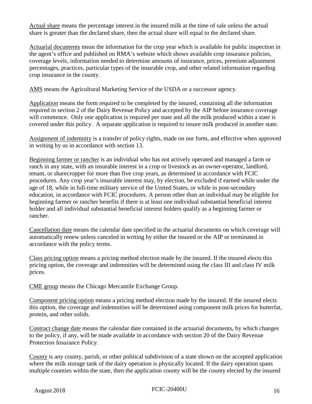Actual share means the percentage interest in the insured milk at the time of sale unless the actual share is greater than the declared share, then the actual share will equal to the declared share.

Actuarial documents mean the information for the crop year which is available for public inspection in the agent's office and published on RMA's website which shows available crop insurance policies, coverage levels, information needed to determine amounts of insurance, prices, premium adjustment percentages, practices, particular types of the insurable crop, and other related information regarding crop insurance in the county.

AMS means the Agricultural Marketing Service of the USDA or a successor agency.

Application means the form required to be completed by the insured, containing all the information required in section 2 of the Dairy Revenue Policy and accepted by the AIP before insurance coverage will commence. Only one application is required per state and all the milk produced within a state is covered under this policy. A separate application is required to insure milk produced in another state.

Assignment of indemnity is a transfer of policy rights, made on our form, and effective when approved in writing by us in accordance with section 13.

Beginning farmer or rancher is an individual who has not actively operated and managed a farm or ranch in any state, with an insurable interest in a crop or livestock as an owner-operator, landlord, tenant, or sharecropper for more than five crop years, as determined in accordance with FCIC procedures. Any crop year's insurable interest may, by election, be excluded if earned while under the age of 18, while in full-time military service of the United States, or while in post-secondary education, in accordance with FCIC procedures. A person other than an individual may be eligible for beginning farmer or rancher benefits if there is at least one individual substantial beneficial interest holder and all individual substantial beneficial interest holders qualify as a beginning farmer or rancher.

Cancellation date means the calendar date specified in the actuarial documents on which coverage will automatically renew unless canceled in writing by either the insured or the AIP or terminated in accordance with the policy terms.

Class pricing option means a pricing method election made by the insured. If the insured elects this pricing option, the coverage and indemnities will be determined using the class III and class IV milk prices.

CME group means the Chicago Mercantile Exchange Group.

Component pricing option means a pricing method election made by the insured. If the insured elects this option, the coverage and indemnities will be determined using component milk prices for butterfat, protein, and other solids.

Contract change date means the calendar date contained in the actuarial documents, by which changes to the policy, if any, will be made available in accordance with section 20 of the Dairy Revenue Protection Insurance Policy.

County is any county, parish, or other political subdivision of a state shown on the accepted application where the milk storage tank of the dairy operation is physically located. If the dairy operation spans multiple counties within the state, then the application county will be the county elected by the insured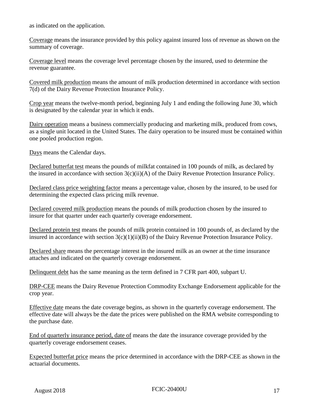as indicated on the application.

Coverage means the insurance provided by this policy against insured loss of revenue as shown on the summary of coverage.

Coverage level means the coverage level percentage chosen by the insured, used to determine the revenue guarantee.

Covered milk production means the amount of milk production determined in accordance with section 7(d) of the Dairy Revenue Protection Insurance Policy.

Crop year means the twelve-month period, beginning July 1 and ending the following June 30, which is designated by the calendar year in which it ends.

Dairy operation means a business commercially producing and marketing milk, produced from cows, as a single unit located in the United States. The dairy operation to be insured must be contained within one pooled production region.

Days means the Calendar days.

Declared butterfat test means the pounds of milkfat contained in 100 pounds of milk, as declared by the insured in accordance with section 3(c)(ii)(A) of the Dairy Revenue Protection Insurance Policy.

Declared class price weighting factor means a percentage value, chosen by the insured, to be used for determining the expected class pricing milk revenue.

Declared covered milk production means the pounds of milk production chosen by the insured to insure for that quarter under each quarterly coverage endorsement.

Declared protein test means the pounds of milk protein contained in 100 pounds of, as declared by the insured in accordance with section 3(c)(1)(ii)(B) of the Dairy Revenue Protection Insurance Policy.

Declared share means the percentage interest in the insured milk as an owner at the time insurance attaches and indicated on the quarterly coverage endorsement.

Delinquent debt has the same meaning as the term defined in 7 CFR part 400, subpart U.

DRP-CEE means the Dairy Revenue Protection Commodity Exchange Endorsement applicable for the crop year.

Effective date means the date coverage begins, as shown in the quarterly coverage endorsement. The effective date will always be the date the prices were published on the RMA website corresponding to the purchase date.

End of quarterly insurance period, date of means the date the insurance coverage provided by the quarterly coverage endorsement ceases.

Expected butterfat price means the price determined in accordance with the DRP-CEE as shown in the actuarial documents.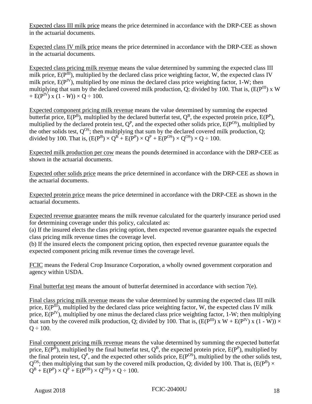Expected class III milk price means the price determined in accordance with the DRP-CEE as shown in the actuarial documents.

Expected class IV milk price means the price determined in accordance with the DRP-CEE as shown in the actuarial documents.

Expected class pricing milk revenue means the value determined by summing the expected class III milk price,  $E(P^{III})$ , multiplied by the declared class price weighting factor, W, the expected class IV milk price,  $E(P<sup>IV</sup>)$ , multiplied by one minus the declared class price weighting factor, 1-W; then multiplying that sum by the declared covered milk production, Q; divided by 100. That is,  $(E(P^{III}) \times W)$ +  $E(P^{IV})$  x (1 - *W*)) ×  $Q \div 100$ .

Expected component pricing milk revenue means the value determined by summing the expected butterfat price,  $E(P^B)$ , multiplied by the declared butterfat test,  $Q^B$ , the expected protein price,  $E(P^P)$ , multiplied by the declared protein test,  $Q^P$ , and the expected other solids price,  $E(P^{OS})$ , multiplied by the other solids test,  $Q^{OS}$ ; then multiplying that sum by the declared covered milk production, Q; divided by 100. That is,  $(E(P^B) \times Q^B + E(P^P) \times Q^P + E(P^{OS}) \times Q^{OS}) \times Q \div 100$ .

Expected milk production per cow means the pounds determined in accordance with the DRP-CEE as shown in the actuarial documents.

Expected other solids price means the price determined in accordance with the DRP-CEE as shown in the actuarial documents.

Expected protein price means the price determined in accordance with the DRP-CEE as shown in the actuarial documents.

Expected revenue guarantee means the milk revenue calculated for the quarterly insurance period used for determining coverage under this policy, calculated as:

(a) If the insured elects the class pricing option, then expected revenue guarantee equals the expected class pricing milk revenue times the coverage level.

(b) If the insured elects the component pricing option, then expected revenue guarantee equals the expected component pricing milk revenue times the coverage level.

FCIC means the Federal Crop Insurance Corporation, a wholly owned government corporation and agency within USDA.

Final butterfat test means the amount of butterfat determined in accordance with section 7(e).

Final class pricing milk revenue means the value determined by summing the expected class III milk price,  $E(P^{III})$ , multiplied by the declared class price weighting factor, W, the expected class IV milk price,  $E(P<sup>IV</sup>)$ , multiplied by one minus the declared class price weighting factor, 1-W; then multiplying that sum by the covered milk production, Q; divided by 100. That is,  $(E(P^{III}) \times W + E(P^{IV}) \times (1 - W)) \times$  $Q \div 100$ .

Final component pricing milk revenue means the value determined by summing the expected butterfat price,  $E(P^B)$ , multiplied by the final butterfat test,  $Q^B$ , the expected protein price,  $E(P^B)$ , multiplied by the final protein test,  $Q^P$ , and the expected other solids price,  $E(P^{OS})$ , multiplied by the other solids test,  $Q^{OS}$ ; then multiplying that sum by the covered milk production, Q; divided by 100. That is, (E(P<sup>B</sup>)  $\times$  $Q^{B} + E(P^{P}) \times Q^{P} + E(P^{OS}) \times Q^{OS} \times Q \div 100.$ 

August 2018 **FCIC-20400U 18**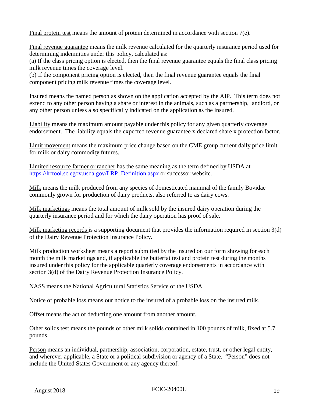Final protein test means the amount of protein determined in accordance with section 7(e).

Final revenue guarantee means the milk revenue calculated for the quarterly insurance period used for determining indemnities under this policy, calculated as:

(a) If the class pricing option is elected, then the final revenue guarantee equals the final class pricing milk revenue times the coverage level.

(b) If the component pricing option is elected, then the final revenue guarantee equals the final component pricing milk revenue times the coverage level.

Insured means the named person as shown on the application accepted by the AIP. This term does not extend to any other person having a share or interest in the animals, such as a partnership, landlord, or any other person unless also specifically indicated on the application as the insured.

Liability means the maximum amount payable under this policy for any given quarterly coverage endorsement. The liability equals the expected revenue guarantee x declared share x protection factor.

Limit movement means the maximum price change based on the CME group current daily price limit for milk or dairy commodity futures.

Limited resource farmer or rancher has the same meaning as the term defined by USDA at [https://lrftool.sc.egov.usda.gov/LRP\\_Definition.aspx](https://lrftool.sc.egov.usda.gov/LRP_Definition.aspx) or successor website.

Milk means the milk produced from any species of domesticated mammal of the family Bovidae commonly grown for production of dairy products, also referred to as dairy cows.

Milk marketings means the total amount of milk sold by the insured dairy operation during the quarterly insurance period and for which the dairy operation has proof of sale.

Milk marketing records is a supporting document that provides the information required in section 3(d) of the Dairy Revenue Protection Insurance Policy.

Milk production worksheet means a report submitted by the insured on our form showing for each month the milk marketings and, if applicable the butterfat test and protein test during the months insured under this policy for the applicable quarterly coverage endorsements in accordance with section 3(d) of the Dairy Revenue Protection Insurance Policy.

NASS means the National Agricultural Statistics Service of the USDA.

Notice of probable loss means our notice to the insured of a probable loss on the insured milk.

Offset means the act of deducting one amount from another amount.

Other solids test means the pounds of other milk solids contained in 100 pounds of milk, fixed at 5.7 pounds.

Person means an individual, partnership, association, corporation, estate, trust, or other legal entity, and wherever applicable, a State or a political subdivision or agency of a State. "Person" does not include the United States Government or any agency thereof.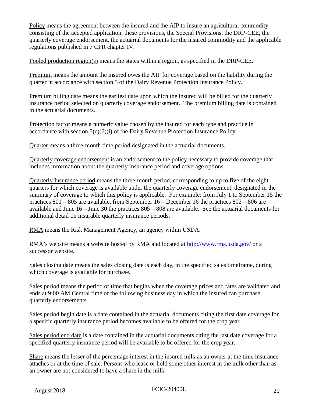Policy means the agreement between the insured and the AIP to insure an agricultural commodity consisting of the accepted application, these provisions, the Special Provisions, the DRP-CEE, the quarterly coverage endorsement, the actuarial documents for the insured commodity and the applicable regulations published in 7 CFR chapter IV.

Pooled production region(s) means the states within a region, as specified in the DRP-CEE.

Premium means the amount the insured owes the AIP for coverage based on the liability during the quarter in accordance with section 5 of the Dairy Revenue Protection Insurance Policy.

Premium billing date means the earliest date upon which the insured will be billed for the quarterly insurance period selected on quarterly coverage endorsement. The premium billing date is contained in the actuarial documents.

Protection factor means a numeric value chosen by the insured for each type and practice in accordance with section 3(c)(6)(i) of the Dairy Revenue Protection Insurance Policy.

Quarter means a three-month time period designated in the actuarial documents.

Quarterly coverage endorsement is an endorsement to the policy necessary to provide coverage that includes information about the quarterly insurance period and coverage options.

Quarterly Insurance period means the three-month period, corresponding to up to five of the eight quarters for which coverage is available under the quarterly coverage endorsement, designated in the summary of coverage to which this policy is applicable. For example: from July 1 to September 15 the practices 801 – 805 are available, from September 16 – December 16 the practices 802 – 806 are available and June 16 – June 30 the practices 805 – 808 are available. See the actuarial documents for additional detail on insurable quarterly insurance periods.

RMA means the Risk Management Agency, an agency within USDA.

RMA's website means a website hosted by RMA and located at [http://www.rma.usda.gov/ o](http://www.rma.usda.gov/)r a successor website.

Sales closing date means the sales closing date is each day, in the specified sales timeframe, during which coverage is available for purchase.

Sales period means the period of time that begins when the coverage prices and rates are validated and ends at 9:00 AM Central time of the following business day in which the insured can purchase quarterly endorsements.

Sales period begin date is a date contained in the actuarial documents citing the first date coverage for a specific quarterly insurance period becomes available to be offered for the crop year.

Sales period end date is a date contained in the actuarial documents citing the last date coverage for a specified quarterly insurance period will be available to be offered for the crop year.

Share means the lesser of the percentage interest in the insured milk as an owner at the time insurance attaches or at the time of sale. Persons who lease or hold some other interest in the milk other than as an owner are not considered to have a share in the milk.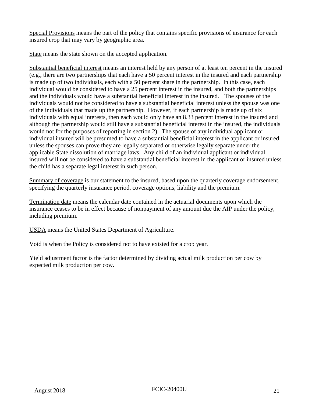Special Provisions means the part of the policy that contains specific provisions of insurance for each insured crop that may vary by geographic area.

State means the state shown on the accepted application.

Substantial beneficial interest means an interest held by any person of at least ten percent in the insured (e.g., there are two partnerships that each have a 50 percent interest in the insured and each partnership is made up of two individuals, each with a 50 percent share in the partnership. In this case, each individual would be considered to have a 25 percent interest in the insured, and both the partnerships and the individuals would have a substantial beneficial interest in the insured. The spouses of the individuals would not be considered to have a substantial beneficial interest unless the spouse was one of the individuals that made up the partnership. However, if each partnership is made up of six individuals with equal interests, then each would only have an 8.33 percent interest in the insured and although the partnership would still have a substantial beneficial interest in the insured, the individuals would not for the purposes of reporting in section 2). The spouse of any individual applicant or individual insured will be presumed to have a substantial beneficial interest in the applicant or insured unless the spouses can prove they are legally separated or otherwise legally separate under the applicable State dissolution of marriage laws. Any child of an individual applicant or individual insured will not be considered to have a substantial beneficial interest in the applicant or insured unless the child has a separate legal interest in such person.

Summary of coverage is our statement to the insured, based upon the quarterly coverage endorsement, specifying the quarterly insurance period, coverage options, liability and the premium.

Termination date means the calendar date contained in the actuarial documents upon which the insurance ceases to be in effect because of nonpayment of any amount due the AIP under the policy, including premium.

USDA means the United States Department of Agriculture.

Void is when the Policy is considered not to have existed for a crop year.

Yield adjustment factor is the factor determined by dividing actual milk production per cow by expected milk production per cow.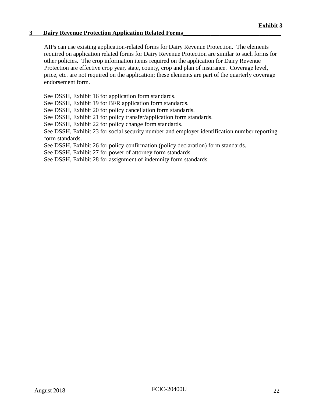## <span id="page-26-0"></span>**3 Dairy Revenue Protection Application Related Forms\_\_\_\_\_\_\_\_\_\_\_\_\_\_\_\_\_\_\_\_\_\_\_\_\_\_\_\_\_\_\_\_**

AIPs can use existing application-related forms for Dairy Revenue Protection. The elements required on application related forms for Dairy Revenue Protection are similar to such forms for other policies. The crop information items required on the application for Dairy Revenue Protection are effective crop year, state, county, crop and plan of insurance. Coverage level, price, etc. are not required on the application; these elements are part of the quarterly coverage endorsement form.

See DSSH, Exhibit 16 for application form standards.

See DSSH, Exhibit 19 for BFR application form standards.

See DSSH, Exhibit 20 for policy cancellation form standards.

See DSSH, Exhibit 21 for policy transfer/application form standards.

See DSSH, Exhibit 22 for policy change form standards.

See DSSH, Exhibit 23 for social security number and employer identification number reporting form standards.

See DSSH, Exhibit 26 for policy confirmation (policy declaration) form standards.

See DSSH, Exhibit 27 for power of attorney form standards.

See DSSH, Exhibit 28 for assignment of indemnity form standards.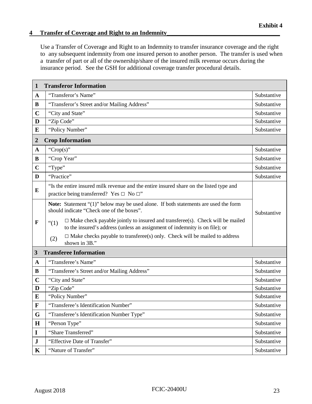# <span id="page-27-0"></span>**4 Transfer of Coverage and Right to an Indemnity\_\_\_\_\_\_\_\_\_\_\_\_\_\_\_\_\_\_\_\_\_\_\_\_\_\_\_\_\_\_\_\_\_\_\_\_\_**

Use a Transfer of Coverage and Right to an Indemnity to transfer insurance coverage and the right to any subsequent indemnity from one insured person to another person. The transfer is used when a transfer of part or all of the ownership/share of the insured milk revenue occurs during the insurance period. See the GSH for additional coverage transfer procedural details.

| 1                | <b>Transferor Information</b>                                                                                                                                                   |             |  |
|------------------|---------------------------------------------------------------------------------------------------------------------------------------------------------------------------------|-------------|--|
| $\mathbf{A}$     | "Transferor's Name"                                                                                                                                                             | Substantive |  |
| B                | "Transferor's Street and/or Mailing Address"                                                                                                                                    | Substantive |  |
| $\mathbf C$      | "City and State"                                                                                                                                                                | Substantive |  |
| D                | "Zip Code"                                                                                                                                                                      | Substantive |  |
| E                | "Policy Number"                                                                                                                                                                 | Substantive |  |
| $\boldsymbol{2}$ | <b>Crop Information</b>                                                                                                                                                         |             |  |
| $\mathbf{A}$     | "Crop(s)"                                                                                                                                                                       | Substantive |  |
| B                | "Crop Year"                                                                                                                                                                     | Substantive |  |
| $\mathbf C$      | "Type"                                                                                                                                                                          | Substantive |  |
| D                | "Practice"                                                                                                                                                                      | Substantive |  |
| E                | "Is the entire insured milk revenue and the entire insured share on the listed type and<br>practice being transferred? Yes $\Box$ No $\Box$ "                                   |             |  |
|                  | <b>Note:</b> Statement "(1)" below may be used alone. If both statements are used the form<br>should indicate "Check one of the boxes".                                         | Substantive |  |
| $\mathbf{F}$     | $\Box$ Make check payable jointly to insured and transferee(s). Check will be mailed<br>$\lq(1)$<br>to the insured's address (unless an assignment of indemnity is on file); or |             |  |
|                  | $\Box$ Make checks payable to transferee(s) only. Check will be mailed to address<br>(2)<br>shown in 3B."                                                                       |             |  |
| 3                | <b>Transferee Information</b>                                                                                                                                                   |             |  |
| $\mathbf A$      | "Transferee's Name"                                                                                                                                                             | Substantive |  |
| B                | "Transferee's Street and/or Mailing Address"                                                                                                                                    | Substantive |  |
| $\mathbf C$      | "City and State"                                                                                                                                                                | Substantive |  |
| D                | "Zip Code"                                                                                                                                                                      | Substantive |  |
| E                | "Policy Number"                                                                                                                                                                 | Substantive |  |
| $\mathbf{F}$     | "Transferee's Identification Number"                                                                                                                                            | Substantive |  |
| G                | "Transferee's Identification Number Type"                                                                                                                                       | Substantive |  |
| $\mathbf H$      | "Person Type"                                                                                                                                                                   | Substantive |  |
| $\mathbf I$      | "Share Transferred"                                                                                                                                                             | Substantive |  |
| ${\bf J}$        | "Effective Date of Transfer"                                                                                                                                                    | Substantive |  |
| $\mathbf K$      | "Nature of Transfer"                                                                                                                                                            | Substantive |  |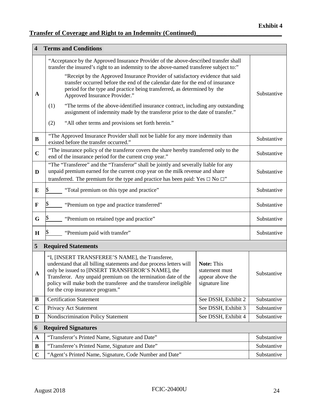# **Transfer of Coverage and Right to an Indemnity (Continued)\_\_\_\_\_\_\_\_\_\_\_\_\_\_\_\_\_\_\_\_\_\_\_\_\_\_\_**

| $\overline{\mathbf{4}}$ | <b>Terms and Conditions</b>                                                                                                                                                                                                                                                                                                                            |                                                                    |             |
|-------------------------|--------------------------------------------------------------------------------------------------------------------------------------------------------------------------------------------------------------------------------------------------------------------------------------------------------------------------------------------------------|--------------------------------------------------------------------|-------------|
|                         | "Acceptance by the Approved Insurance Provider of the above-described transfer shall<br>transfer the insured's right to an indemnity to the above-named transferee subject to:"                                                                                                                                                                        |                                                                    |             |
| A                       | "Receipt by the Approved Insurance Provider of satisfactory evidence that said<br>transfer occurred before the end of the calendar date for the end of insurance<br>period for the type and practice being transferred, as determined by the<br>Approved Insurance Provider."                                                                          |                                                                    | Substantive |
|                         | "The terms of the above-identified insurance contract, including any outstanding<br>(1)<br>assignment of indemnity made by the transferor prior to the date of transfer."                                                                                                                                                                              |                                                                    |             |
|                         | "All other terms and provisions set forth herein."<br>(2)                                                                                                                                                                                                                                                                                              |                                                                    |             |
| B                       | "The Approved Insurance Provider shall not be liable for any more indemnity than<br>existed before the transfer occurred."                                                                                                                                                                                                                             |                                                                    | Substantive |
| $\mathbf C$             | "The insurance policy of the transferor covers the share hereby transferred only to the<br>end of the insurance period for the current crop year."                                                                                                                                                                                                     |                                                                    | Substantive |
| D                       | "The "Transferee" and the "Transferor" shall be jointly and severally liable for any<br>unpaid premium earned for the current crop year on the milk revenue and share<br>transferred. The premium for the type and practice has been paid: Yes $\Box$ No $\Box$ "                                                                                      |                                                                    | Substantive |
| E                       | "Total premium on this type and practice"                                                                                                                                                                                                                                                                                                              |                                                                    | Substantive |
| F                       | "Premium on type and practice transferred"                                                                                                                                                                                                                                                                                                             |                                                                    | Substantive |
| G                       | "Premium on retained type and practice"                                                                                                                                                                                                                                                                                                                |                                                                    | Substantive |
| H                       | "Premium paid with transfer"                                                                                                                                                                                                                                                                                                                           |                                                                    | Substantive |
| 5                       | <b>Required Statements</b>                                                                                                                                                                                                                                                                                                                             |                                                                    |             |
| A                       | "I, [INSERT TRANSFEREE'S NAME], the Transferee,<br>understand that all billing statements and due process letters will<br>only be issued to [INSERT TRANSFEROR'S NAME], the<br>Transferor. Any unpaid premium on the termination date of the<br>policy will make both the transferee and the transferor ineligible<br>for the crop insurance program." | Note: This<br>statement must<br>appear above the<br>signature line | Substantive |
| B                       | <b>Certification Statement</b>                                                                                                                                                                                                                                                                                                                         | See DSSH, Exhibit 2                                                | Substantive |
| $\mathbf C$             | Privacy Act Statement                                                                                                                                                                                                                                                                                                                                  | See DSSH, Exhibit 3                                                | Substantive |
| D                       | Nondiscrimination Policy Statement                                                                                                                                                                                                                                                                                                                     | See DSSH, Exhibit 4                                                | Substantive |
| 6                       | <b>Required Signatures</b>                                                                                                                                                                                                                                                                                                                             |                                                                    |             |
| $\mathbf A$             | "Transferor's Printed Name, Signature and Date"                                                                                                                                                                                                                                                                                                        |                                                                    | Substantive |
| $\bf{B}$                | "Transferee's Printed Name, Signature and Date"                                                                                                                                                                                                                                                                                                        |                                                                    | Substantive |
| $\mathbf C$             | "Agent's Printed Name, Signature, Code Number and Date"                                                                                                                                                                                                                                                                                                |                                                                    | Substantive |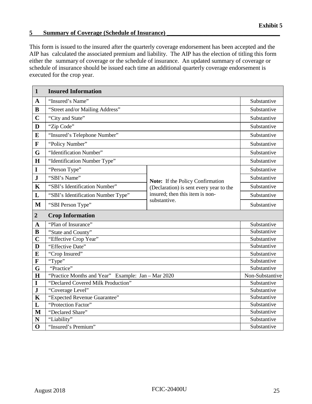## <span id="page-29-0"></span>**5** Summary of Coverage (Schedule of Insurance)

This form is issued to the insured after the quarterly coverage endorsement has been accepted and the AIP has calculated the associated premium and liability. The AIP has the election of titling this form either the summary of coverage or the schedule of insurance. An updated summary of coverage or schedule of insurance should be issued each time an additional quarterly coverage endorsement is executed for the crop year.

| $\mathbf{1}$   | <b>Insured Information</b>                         |                                                                             |                 |
|----------------|----------------------------------------------------|-----------------------------------------------------------------------------|-----------------|
| $\mathbf{A}$   | "Insured's Name"                                   |                                                                             | Substantive     |
| $\bf{B}$       | "Street and/or Mailing Address"                    |                                                                             | Substantive     |
| $\mathbf C$    | "City and State"                                   |                                                                             | Substantive     |
| D              | "Zip Code"                                         |                                                                             | Substantive     |
| E              | "Insured's Telephone Number"                       |                                                                             | Substantive     |
| $\mathbf F$    | "Policy Number"                                    |                                                                             | Substantive     |
| G              | "Identification Number"                            |                                                                             | Substantive     |
| H              | "Identification Number Type"                       |                                                                             | Substantive     |
| I              | "Person Type"                                      |                                                                             | Substantive     |
| $\mathbf{J}$   | "SBI's Name"                                       |                                                                             | Substantive     |
| $\mathbf K$    | "SBI's Identification Number"                      | Note: If the Policy Confirmation<br>(Declaration) is sent every year to the | Substantive     |
| L              | "SBI's Identification Number Type"                 | insured; then this item is non-                                             | Substantive     |
| $\mathbf{M}$   | "SBI Person Type"                                  | substantive.                                                                | Substantive     |
|                |                                                    |                                                                             |                 |
|                |                                                    |                                                                             |                 |
| $\overline{2}$ | <b>Crop Information</b>                            |                                                                             |                 |
| $\mathbf{A}$   | "Plan of Insurance"                                |                                                                             | Substantive     |
| $\bf{B}$       | "State and County"                                 |                                                                             | Substantive     |
| $\overline{C}$ | "Effective Crop Year"                              |                                                                             | Substantive     |
| D              | "Effective Date"                                   |                                                                             | Substantive     |
| E              | "Crop Insured"                                     |                                                                             | Substantive     |
| $\mathbf F$    | "Type"                                             |                                                                             | Substantive     |
| G              | "Practice"                                         |                                                                             | Substantive     |
| H              | "Practice Months and Year" Example: Jan - Mar 2020 |                                                                             | Non-Substantive |
| I              | "Declared Covered Milk Production"                 |                                                                             | Substantive     |
| $\mathbf J$    | "Coverage Level"                                   |                                                                             | Substantive     |
| $\mathbf K$    | "Expected Revenue Guarantee"                       |                                                                             | Substantive     |
| L              | "Protection Factor"                                |                                                                             | Substantive     |
| M              | "Declared Share"                                   |                                                                             | Substantive     |
| N              | "Liability"                                        |                                                                             | Substantive     |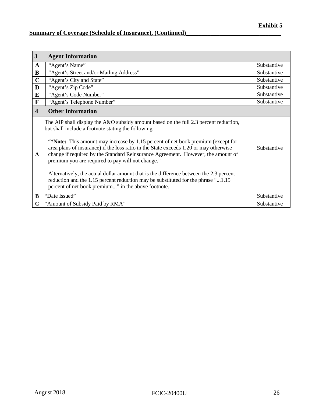# **<u>Summary of Coverage (Schedule of Insurance), (Continued)</u>**

| 3                       | <b>Agent Information</b>                                                                                                                                                                                                                                                                                                                                                                                                                                                                                                                                                                                                                                                                                        |             |
|-------------------------|-----------------------------------------------------------------------------------------------------------------------------------------------------------------------------------------------------------------------------------------------------------------------------------------------------------------------------------------------------------------------------------------------------------------------------------------------------------------------------------------------------------------------------------------------------------------------------------------------------------------------------------------------------------------------------------------------------------------|-------------|
| $\mathbf A$             | "Agent's Name"                                                                                                                                                                                                                                                                                                                                                                                                                                                                                                                                                                                                                                                                                                  | Substantive |
| B                       | "Agent's Street and/or Mailing Address"                                                                                                                                                                                                                                                                                                                                                                                                                                                                                                                                                                                                                                                                         | Substantive |
| $\mathbf C$             | "Agent's City and State"                                                                                                                                                                                                                                                                                                                                                                                                                                                                                                                                                                                                                                                                                        | Substantive |
| D                       | "Agent's Zip Code"                                                                                                                                                                                                                                                                                                                                                                                                                                                                                                                                                                                                                                                                                              | Substantive |
| E                       | "Agent's Code Number"                                                                                                                                                                                                                                                                                                                                                                                                                                                                                                                                                                                                                                                                                           | Substantive |
| F                       | "Agent's Telephone Number"                                                                                                                                                                                                                                                                                                                                                                                                                                                                                                                                                                                                                                                                                      | Substantive |
| $\overline{\mathbf{4}}$ | <b>Other Information</b>                                                                                                                                                                                                                                                                                                                                                                                                                                                                                                                                                                                                                                                                                        |             |
| A                       | The AIP shall display the A&O subsidy amount based on the full 2.3 percent reduction,<br>but shall include a footnote stating the following:<br><b>Example:</b> This amount may increase by 1.15 percent of net book premium (except for<br>area plans of insurance) if the loss ratio in the State exceeds 1.20 or may otherwise<br>change if required by the Standard Reinsurance Agreement. However, the amount of<br>premium you are required to pay will not change."<br>Alternatively, the actual dollar amount that is the difference between the 2.3 percent<br>reduction and the 1.15 percent reduction may be substituted for the phrase "1.15<br>percent of net book premium" in the above footnote. | Substantive |
| B                       | "Date Issued"                                                                                                                                                                                                                                                                                                                                                                                                                                                                                                                                                                                                                                                                                                   | Substantive |
| $\mathbf C$             | "Amount of Subsidy Paid by RMA"                                                                                                                                                                                                                                                                                                                                                                                                                                                                                                                                                                                                                                                                                 | Substantive |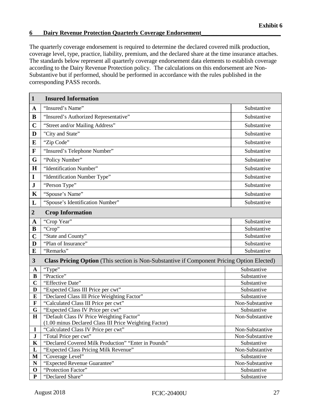## <span id="page-31-0"></span>**6 Dairy Revenue Protection Quarterly Coverage Endorsement\_\_\_\_\_\_\_\_\_\_\_\_\_\_\_\_\_\_\_\_\_\_\_\_\_\_**

The quarterly coverage endorsement is required to determine the declared covered milk production, coverage level, type, practice, liability, premium, and the declared share at the time insurance attaches. The standards below represent all quarterly coverage endorsement data elements to establish coverage according to the Dairy Revenue Protection policy. The calculations on this endorsement are Non-Substantive but if performed, should be performed in accordance with the rules published in the corresponding PASS records.

| "Insured's Name"<br>Substantive<br>$\mathbf A$<br>"Insured's Authorized Representative"<br>B<br>Substantive<br>$\mathbf C$<br>"Street and/or Mailing Address"<br>Substantive<br>"City and State"<br>D<br>Substantive<br>"Zip Code"<br>Substantive<br>$\bf{E}$<br>$\mathbf{F}$<br>"Insured's Telephone Number"<br>Substantive<br>G<br>"Policy Number"<br>Substantive<br>H<br>"Identification Number"<br>Substantive<br>"Identification Number Type"<br>Substantive<br>$\mathbf I$ |
|----------------------------------------------------------------------------------------------------------------------------------------------------------------------------------------------------------------------------------------------------------------------------------------------------------------------------------------------------------------------------------------------------------------------------------------------------------------------------------|
|                                                                                                                                                                                                                                                                                                                                                                                                                                                                                  |
|                                                                                                                                                                                                                                                                                                                                                                                                                                                                                  |
|                                                                                                                                                                                                                                                                                                                                                                                                                                                                                  |
|                                                                                                                                                                                                                                                                                                                                                                                                                                                                                  |
|                                                                                                                                                                                                                                                                                                                                                                                                                                                                                  |
|                                                                                                                                                                                                                                                                                                                                                                                                                                                                                  |
|                                                                                                                                                                                                                                                                                                                                                                                                                                                                                  |
|                                                                                                                                                                                                                                                                                                                                                                                                                                                                                  |
|                                                                                                                                                                                                                                                                                                                                                                                                                                                                                  |
| ${\bf J}$<br>"Person Type"<br>Substantive                                                                                                                                                                                                                                                                                                                                                                                                                                        |
| "Spouse's Name"<br>K<br>Substantive                                                                                                                                                                                                                                                                                                                                                                                                                                              |
| "Spouse's Identification Number"<br>L<br>Substantive                                                                                                                                                                                                                                                                                                                                                                                                                             |
|                                                                                                                                                                                                                                                                                                                                                                                                                                                                                  |
| <b>Crop Information</b><br>$\overline{2}$                                                                                                                                                                                                                                                                                                                                                                                                                                        |
| "Crop Year"<br>Substantive<br>$\mathbf A$                                                                                                                                                                                                                                                                                                                                                                                                                                        |
| "Crop"<br>Substantive<br>B                                                                                                                                                                                                                                                                                                                                                                                                                                                       |
| $\mathbf C$<br>"State and County"<br>Substantive                                                                                                                                                                                                                                                                                                                                                                                                                                 |
| "Plan of Insurance"<br>D<br>Substantive                                                                                                                                                                                                                                                                                                                                                                                                                                          |
| "Remarks"<br>E<br>Substantive                                                                                                                                                                                                                                                                                                                                                                                                                                                    |
| $\mathbf{3}$<br>Class Pricing Option (This section is Non-Substantive if Component Pricing Option Elected)                                                                                                                                                                                                                                                                                                                                                                       |
| "Type"<br>Substantive<br>$\mathbf A$                                                                                                                                                                                                                                                                                                                                                                                                                                             |
| "Practice"<br>$\bf{B}$<br>Substantive                                                                                                                                                                                                                                                                                                                                                                                                                                            |
| $\overline{\mathbf{C}}$<br>"Effective Date"<br>Substantive                                                                                                                                                                                                                                                                                                                                                                                                                       |
| "Expected Class III Price per cwt"<br>D<br>Substantive                                                                                                                                                                                                                                                                                                                                                                                                                           |
| "Declared Class III Price Weighting Factor"<br>$\bf{E}$<br>Substantive                                                                                                                                                                                                                                                                                                                                                                                                           |
| "Calculated Class III Price per cwt"<br>$\mathbf F$<br>Non-Substantive                                                                                                                                                                                                                                                                                                                                                                                                           |
| G<br>"Expected Class IV Price per cwt"<br>Substantive                                                                                                                                                                                                                                                                                                                                                                                                                            |
| "Default Class IV Price Weighting Factor"<br>$\mathbf H$<br>Non-Substantive                                                                                                                                                                                                                                                                                                                                                                                                      |
| (1.00 minus Declared Class III Price Weighting Factor)                                                                                                                                                                                                                                                                                                                                                                                                                           |
| $\mathbf I$<br>"Calculated Class IV Price per cwt"<br>Non-Substantive                                                                                                                                                                                                                                                                                                                                                                                                            |
| $\mathbf J$<br>"Total Price per cwt"<br>Non-Substantive<br>"Declared Covered Milk Production" "Enter in Pounds"<br>$\mathbf K$<br>Substantive                                                                                                                                                                                                                                                                                                                                    |
| "Expected Class Pricing Milk Revenue"<br>L<br>Non-Substantive                                                                                                                                                                                                                                                                                                                                                                                                                    |
| $\mathbf{M}$<br>"Coverage Level"<br>Substantive                                                                                                                                                                                                                                                                                                                                                                                                                                  |
| ${\bf N}$<br>"Expected Revenue Guarantee"<br>Non-Substantive                                                                                                                                                                                                                                                                                                                                                                                                                     |
| "Protection Factor"<br>$\mathbf 0$<br>Substantive                                                                                                                                                                                                                                                                                                                                                                                                                                |
| "Declared Share"<br>${\bf P}$<br>Substantive                                                                                                                                                                                                                                                                                                                                                                                                                                     |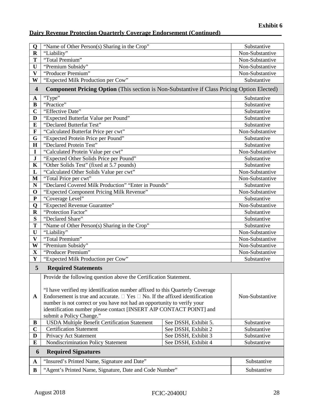| Q                       | "Name of Other Person(s) Sharing in the Crop"                                                                                                                                                                                                                                                                                                                                                                                               |                      | Substantive     |
|-------------------------|---------------------------------------------------------------------------------------------------------------------------------------------------------------------------------------------------------------------------------------------------------------------------------------------------------------------------------------------------------------------------------------------------------------------------------------------|----------------------|-----------------|
| $\mathbf R$             | "Liability"                                                                                                                                                                                                                                                                                                                                                                                                                                 |                      | Non-Substantive |
| T                       | "Total Premium"                                                                                                                                                                                                                                                                                                                                                                                                                             |                      | Non-Substantive |
| U                       | "Premium Subsidy"                                                                                                                                                                                                                                                                                                                                                                                                                           |                      | Non-Substantive |
| $\overline{\mathbf{V}}$ | "Producer Premium"                                                                                                                                                                                                                                                                                                                                                                                                                          |                      | Non-Substantive |
| W                       | "Expected Milk Production per Cow"                                                                                                                                                                                                                                                                                                                                                                                                          |                      | Substantive     |
| $\overline{\mathbf{4}}$ | <b>Component Pricing Option</b> (This section is Non-Substantive if Class Pricing Option Elected)                                                                                                                                                                                                                                                                                                                                           |                      |                 |
| $\mathbf A$             | "Type"                                                                                                                                                                                                                                                                                                                                                                                                                                      |                      | Substantive     |
| B                       | "Practice"                                                                                                                                                                                                                                                                                                                                                                                                                                  |                      | Substantive     |
| $\mathbf C$             | "Effective Date"                                                                                                                                                                                                                                                                                                                                                                                                                            |                      | Substantive     |
| $\mathbf{D}$            | "Expected Butterfat Value per Pound"                                                                                                                                                                                                                                                                                                                                                                                                        |                      | Substantive     |
| $\bf{E}$                | "Declared Butterfat Test"                                                                                                                                                                                                                                                                                                                                                                                                                   |                      | Substantive     |
| $\mathbf F$             | "Calculated Butterfat Price per cwt"                                                                                                                                                                                                                                                                                                                                                                                                        |                      | Non-Substantive |
| G                       | "Expected Protein Price per Pound"                                                                                                                                                                                                                                                                                                                                                                                                          |                      | Substantive     |
| $\mathbf H$             | "Declared Protein Test"                                                                                                                                                                                                                                                                                                                                                                                                                     |                      | Substantive     |
| $\mathbf I$             | "Calculated Protein Value per cwt"                                                                                                                                                                                                                                                                                                                                                                                                          |                      | Non-Substantive |
| ${\bf J}$               | "Expected Other Solids Price per Pound"                                                                                                                                                                                                                                                                                                                                                                                                     |                      | Substantive     |
| K                       | "Other Solids Test" (fixed at 5.7 pounds)                                                                                                                                                                                                                                                                                                                                                                                                   |                      | Substantive     |
| L                       | "Calculated Other Solids Value per cwt"                                                                                                                                                                                                                                                                                                                                                                                                     |                      | Non-Substantive |
| M                       | "Total Price per cwt"                                                                                                                                                                                                                                                                                                                                                                                                                       |                      | Non-Substantive |
| $\mathbf N$             | "Declared Covered Milk Production" "Enter in Pounds"                                                                                                                                                                                                                                                                                                                                                                                        |                      | Substantive     |
| $\mathbf 0$             | "Expected Component Pricing Milk Revenue"                                                                                                                                                                                                                                                                                                                                                                                                   |                      | Non-Substantive |
| ${\bf P}$               | "Coverage Level"                                                                                                                                                                                                                                                                                                                                                                                                                            |                      | Substantive     |
| Q                       | "Expected Revenue Guarantee"                                                                                                                                                                                                                                                                                                                                                                                                                |                      | Non-Substantive |
| $\mathbf R$             | "Protection Factor"<br>Substantive                                                                                                                                                                                                                                                                                                                                                                                                          |                      |                 |
| S                       | "Declared Share"<br>Substantive                                                                                                                                                                                                                                                                                                                                                                                                             |                      |                 |
| T                       | "Name of Other Person(s) Sharing in the Crop"<br>Substantive                                                                                                                                                                                                                                                                                                                                                                                |                      |                 |
| U                       | "Liability"<br>Non-Substantive                                                                                                                                                                                                                                                                                                                                                                                                              |                      |                 |
| $\overline{\mathbf{V}}$ | "Total Premium"                                                                                                                                                                                                                                                                                                                                                                                                                             |                      | Non-Substantive |
| W                       | "Premium Subsidy"                                                                                                                                                                                                                                                                                                                                                                                                                           |                      | Non-Substantive |
| $\mathbf X$             | "Producer Premium"<br>Non-Substantive                                                                                                                                                                                                                                                                                                                                                                                                       |                      |                 |
| Y                       | "Expected Milk Production per Cow"                                                                                                                                                                                                                                                                                                                                                                                                          |                      | Substantive     |
| 5                       | <b>Required Statements</b>                                                                                                                                                                                                                                                                                                                                                                                                                  |                      |                 |
| A                       | Provide the following question above the Certification Statement.<br>"I have verified my identification number affixed to this Quarterly Coverage<br>Endorsement is true and accurate. $\Box$ Yes $\Box$ No. If the affixed identification<br>Non-Substantive<br>number is not correct or you have not had an opportunity to verify your<br>identification number please contact [INSERT AIP CONTACT POINT] and<br>submit a Policy Change." |                      |                 |
| B                       | <b>USDA Multiple Benefit Certification Statement</b>                                                                                                                                                                                                                                                                                                                                                                                        | See DSSH, Exhibit 5. | Substantive     |
| $\mathbf C$             | <b>Certification Statement</b>                                                                                                                                                                                                                                                                                                                                                                                                              | See DSSH, Exhibit 2  | Substantive     |
| D                       | Privacy Act Statement                                                                                                                                                                                                                                                                                                                                                                                                                       | See DSSH, Exhibit 3  | Substantive     |
| $\bf{E}$                | Nondiscrimination Policy Statement                                                                                                                                                                                                                                                                                                                                                                                                          | See DSSH, Exhibit 4  | Substantive     |
| 6                       | <b>Required Signatures</b>                                                                                                                                                                                                                                                                                                                                                                                                                  |                      |                 |
| $\mathbf A$             | "Insured's Printed Name, Signature and Date"                                                                                                                                                                                                                                                                                                                                                                                                |                      | Substantive     |
| B                       | "Agent's Printed Name, Signature, Date and Code Number"                                                                                                                                                                                                                                                                                                                                                                                     |                      | Substantive     |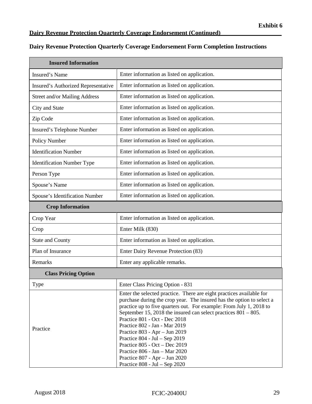# **Dairy Revenue Protection Quarterly Coverage Endorsement Form Completion Instructions**

| <b>Insured Information</b>           |                                                                                                                                                                                                                                                                                                                                                                                                                                                                                                                                                                                      |  |
|--------------------------------------|--------------------------------------------------------------------------------------------------------------------------------------------------------------------------------------------------------------------------------------------------------------------------------------------------------------------------------------------------------------------------------------------------------------------------------------------------------------------------------------------------------------------------------------------------------------------------------------|--|
| Insured's Name                       | Enter information as listed on application.                                                                                                                                                                                                                                                                                                                                                                                                                                                                                                                                          |  |
| Insured's Authorized Representative  | Enter information as listed on application.                                                                                                                                                                                                                                                                                                                                                                                                                                                                                                                                          |  |
| <b>Street and/or Mailing Address</b> | Enter information as listed on application.                                                                                                                                                                                                                                                                                                                                                                                                                                                                                                                                          |  |
| City and State                       | Enter information as listed on application.                                                                                                                                                                                                                                                                                                                                                                                                                                                                                                                                          |  |
| Zip Code                             | Enter information as listed on application.                                                                                                                                                                                                                                                                                                                                                                                                                                                                                                                                          |  |
| Insured's Telephone Number           | Enter information as listed on application.                                                                                                                                                                                                                                                                                                                                                                                                                                                                                                                                          |  |
| Policy Number                        | Enter information as listed on application.                                                                                                                                                                                                                                                                                                                                                                                                                                                                                                                                          |  |
| <b>Identification Number</b>         | Enter information as listed on application.                                                                                                                                                                                                                                                                                                                                                                                                                                                                                                                                          |  |
| <b>Identification Number Type</b>    | Enter information as listed on application.                                                                                                                                                                                                                                                                                                                                                                                                                                                                                                                                          |  |
| Person Type                          | Enter information as listed on application.                                                                                                                                                                                                                                                                                                                                                                                                                                                                                                                                          |  |
| Spouse's Name                        | Enter information as listed on application.                                                                                                                                                                                                                                                                                                                                                                                                                                                                                                                                          |  |
| Spouse's Identification Number       | Enter information as listed on application.                                                                                                                                                                                                                                                                                                                                                                                                                                                                                                                                          |  |
| <b>Crop Information</b>              |                                                                                                                                                                                                                                                                                                                                                                                                                                                                                                                                                                                      |  |
| Crop Year                            | Enter information as listed on application.                                                                                                                                                                                                                                                                                                                                                                                                                                                                                                                                          |  |
| Crop                                 | Enter Milk (830)                                                                                                                                                                                                                                                                                                                                                                                                                                                                                                                                                                     |  |
| <b>State and County</b>              | Enter information as listed on application.                                                                                                                                                                                                                                                                                                                                                                                                                                                                                                                                          |  |
| Plan of Insurance                    | Enter Dairy Revenue Protection (83)                                                                                                                                                                                                                                                                                                                                                                                                                                                                                                                                                  |  |
| Remarks                              | Enter any applicable remarks.                                                                                                                                                                                                                                                                                                                                                                                                                                                                                                                                                        |  |
| <b>Class Pricing Option</b>          |                                                                                                                                                                                                                                                                                                                                                                                                                                                                                                                                                                                      |  |
| Type                                 | Enter Class Pricing Option - 831                                                                                                                                                                                                                                                                                                                                                                                                                                                                                                                                                     |  |
| Practice                             | Enter the selected practice. There are eight practices available for<br>purchase during the crop year. The insured has the option to select a<br>practice up to five quarters out. For example: From July 1, 2018 to<br>September 15, 2018 the insured can select practices $801 - 805$ .<br>Practice 801 - Oct - Dec 2018<br>Practice 802 - Jan - Mar 2019<br>Practice 803 - Apr - Jun 2019<br>Practice $804 - \text{Jul} - \text{Sep } 2019$<br>Practice 805 - Oct - Dec 2019<br>Practice 806 - Jan - Mar 2020<br>Practice $807 - Apr - Jun 2020$<br>Practice 808 - Jul - Sep 2020 |  |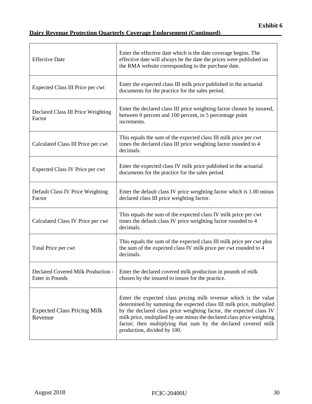$\overline{\phantom{a}}$  . The contract of the contract of  $\overline{\phantom{a}}$  ,  $\overline{\phantom{a}}$  ,  $\overline{\phantom{a}}$  ,  $\overline{\phantom{a}}$  ,  $\overline{\phantom{a}}$  ,  $\overline{\phantom{a}}$  ,  $\overline{\phantom{a}}$  ,  $\overline{\phantom{a}}$  ,  $\overline{\phantom{a}}$  ,  $\overline{\phantom{a}}$  ,  $\overline{\phantom{a}}$  ,  $\overline{\phantom{a}}$  ,  $\overline{\phantom$ 

| <b>Effective Date</b>                                 | Enter the effective date which is the date coverage begins. The<br>effective date will always be the date the prices were published on<br>the RMA website corresponding to the purchase date.                                                                                                                                                                                             |
|-------------------------------------------------------|-------------------------------------------------------------------------------------------------------------------------------------------------------------------------------------------------------------------------------------------------------------------------------------------------------------------------------------------------------------------------------------------|
| Expected Class III Price per cwt                      | Enter the expected class III milk price published in the actuarial<br>documents for the practice for the sales period.                                                                                                                                                                                                                                                                    |
| Declared Class III Price Weighting<br>Factor          | Enter the declared class III price weighting factor chosen by insured,<br>between 0 percent and 100 percent, in 5 percentage point<br>increments.                                                                                                                                                                                                                                         |
| Calculated Class III Price per cwt                    | This equals the sum of the expected class III milk price per cwt<br>times the declared class III price weighting factor rounded to 4<br>decimals.                                                                                                                                                                                                                                         |
| Expected Class IV Price per cwt                       | Enter the expected class IV milk price published in the actuarial<br>documents for the practice for the sales period.                                                                                                                                                                                                                                                                     |
| Default Class IV Price Weighting<br>Factor            | Enter the default class IV price weighting factor which is 1.00 minus<br>declared class III price weighting factor.                                                                                                                                                                                                                                                                       |
| Calculated Class IV Price per cwt                     | This equals the sum of the expected class IV milk price per cwt<br>times the default class IV price weighting factor rounded to 4<br>decimals.                                                                                                                                                                                                                                            |
| Total Price per cwt                                   | This equals the sum of the expected class III milk price per cwt plus<br>the sum of the expected class IV milk price per cwt rounded to 4<br>decimals.                                                                                                                                                                                                                                    |
| Declared Covered Milk Production -<br>Enter in Pounds | Enter the declared covered milk production in pounds of milk<br>chosen by the insured to insure for the practice.                                                                                                                                                                                                                                                                         |
| <b>Expected Class Pricing Milk</b><br>Revenue         | Enter the expected class pricing milk revenue which is the value<br>determined by summing the expected class III milk price, multiplied<br>by the declared class price weighting factor, the expected class IV<br>milk price, multiplied by one minus the declared class price weighting<br>factor; then multiplying that sum by the declared covered milk<br>production, divided by 100. |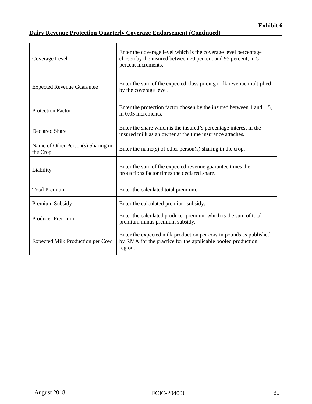| Coverage Level                                 | Enter the coverage level which is the coverage level percentage<br>chosen by the insured between 70 percent and 95 percent, in 5<br>percent increments. |
|------------------------------------------------|---------------------------------------------------------------------------------------------------------------------------------------------------------|
| <b>Expected Revenue Guarantee</b>              | Enter the sum of the expected class pricing milk revenue multiplied<br>by the coverage level.                                                           |
| <b>Protection Factor</b>                       | Enter the protection factor chosen by the insured between 1 and 1.5,<br>in 0.05 increments.                                                             |
| <b>Declared Share</b>                          | Enter the share which is the insured's percentage interest in the<br>insured milk as an owner at the time insurance attaches.                           |
| Name of Other Person(s) Sharing in<br>the Crop | Enter the name(s) of other person(s) sharing in the crop.                                                                                               |
| Liability                                      | Enter the sum of the expected revenue guarantee times the<br>protections factor times the declared share.                                               |
| <b>Total Premium</b>                           | Enter the calculated total premium.                                                                                                                     |
| Premium Subsidy                                | Enter the calculated premium subsidy.                                                                                                                   |
| <b>Producer Premium</b>                        | Enter the calculated producer premium which is the sum of total<br>premium minus premium subsidy.                                                       |
| <b>Expected Milk Production per Cow</b>        | Enter the expected milk production per cow in pounds as published<br>by RMA for the practice for the applicable pooled production<br>region.            |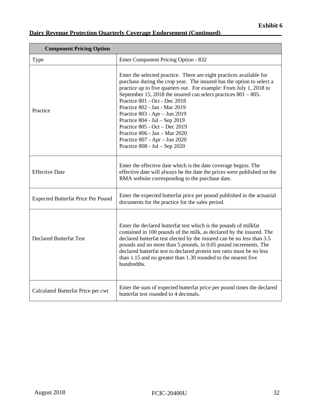| <b>Component Pricing Option</b>           |                                                                                                                                                                                                                                                                                                                                                                                                                                                                                                                                                                   |  |  |
|-------------------------------------------|-------------------------------------------------------------------------------------------------------------------------------------------------------------------------------------------------------------------------------------------------------------------------------------------------------------------------------------------------------------------------------------------------------------------------------------------------------------------------------------------------------------------------------------------------------------------|--|--|
| Type                                      | Enter Component Pricing Option - 832                                                                                                                                                                                                                                                                                                                                                                                                                                                                                                                              |  |  |
| Practice                                  | Enter the selected practice. There are eight practices available for<br>purchase during the crop year. The insured has the option to select a<br>practice up to five quarters out. For example: From July 1, 2018 to<br>September 15, 2018 the insured can select practices $801 - 805$ .<br>Practice 801 - Oct - Dec 2018<br>Practice 802 - Jan - Mar 2019<br>Practice 803 - Apr - Jun 2019<br>Practice 804 - Jul - Sep 2019<br>Practice 805 - Oct - Dec 2019<br>Practice 806 - Jan - Mar 2020<br>Practice 807 - Apr - Jun 2020<br>Practice 808 - Jul - Sep 2020 |  |  |
| <b>Effective Date</b>                     | Enter the effective date which is the date coverage begins. The<br>effective date will always be the date the prices were published on the<br>RMA website corresponding to the purchase date.                                                                                                                                                                                                                                                                                                                                                                     |  |  |
| <b>Expected Butterfat Price Per Pound</b> | Enter the expected butterfat price per pound published in the actuarial<br>documents for the practice for the sales period.                                                                                                                                                                                                                                                                                                                                                                                                                                       |  |  |
| <b>Declared Butterfat Test</b>            | Enter the declared butterfat test which is the pounds of milkfat<br>contained in 100 pounds of the milk, as declared by the insured. The<br>declared butterfat test elected by the insured can be no less than 3.5<br>pounds and no more than 5 pounds, in 0.05 pound increments. The<br>declared butterfat test to declared protein test ratio must be no less<br>than 1.15 and no greater than 1.30 rounded to the nearest five<br>hundredths.                                                                                                                  |  |  |
| Calculated Butterfat Price per cwt        | Enter the sum of expected butterfat price per pound times the declared<br>butterfat test rounded to 4 decimals.                                                                                                                                                                                                                                                                                                                                                                                                                                                   |  |  |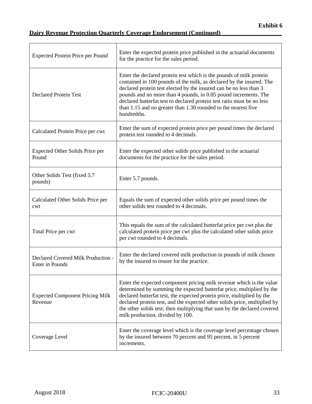# **Dairy Revenue Protection Quarterly Coverage Endorsement (Continued)\_\_\_\_\_\_\_\_\_\_\_\_\_\_\_\_\_\_\_\_**

| <b>Expected Protein Price per Pound</b>               | Enter the expected protein price published in the actuarial documents<br>for the practice for the sales period.                                                                                                                                                                                                                                                                                                                                 |
|-------------------------------------------------------|-------------------------------------------------------------------------------------------------------------------------------------------------------------------------------------------------------------------------------------------------------------------------------------------------------------------------------------------------------------------------------------------------------------------------------------------------|
| <b>Declared Protein Test</b>                          | Enter the declared protein test which is the pounds of milk protein<br>contained in 100 pounds of the milk, as declared by the insured. The<br>declared protein test elected by the insured can be no less than 3<br>pounds and no more than 4 pounds, in 0.05 pound increments. The<br>declared butterfat test to declared protein test ratio must be no less<br>than 1.15 and no greater than 1.30 rounded to the nearest five<br>hundredths. |
| Calculated Protein Price per cwt                      | Enter the sum of expected protein price per pound times the declared<br>protein test rounded to 4 decimals.                                                                                                                                                                                                                                                                                                                                     |
| Expected Other Solids Price per<br>Pound              | Enter the expected other solids price published in the actuarial<br>documents for the practice for the sales period.                                                                                                                                                                                                                                                                                                                            |
| Other Solids Test (fixed 5.7<br>pounds)               | Enter 5.7 pounds.                                                                                                                                                                                                                                                                                                                                                                                                                               |
| Calculated Other Solids Price per<br>cwt              | Equals the sum of expected other solids price per pound times the<br>other solids test rounded to 4 decimals.                                                                                                                                                                                                                                                                                                                                   |
| Total Price per cwt                                   | This equals the sum of the calculated butterfat price per cwt plus the<br>calculated protein price per cwt plus the calculated other solids price<br>per cwt rounded to 4 decimals.                                                                                                                                                                                                                                                             |
| Declared Covered Milk Production -<br>Enter in Pounds | Enter the declared covered milk production in pounds of milk chosen<br>by the insured to insure for the practice.                                                                                                                                                                                                                                                                                                                               |
| <b>Expected Component Pricing Milk</b><br>Revenue     | Enter the expected component pricing milk revenue which is the value<br>determined by summing the expected butterfat price, multiplied by the<br>declared butterfat test, the expected protein price, multiplied by the<br>declared protein test, and the expected other solids price, multiplied by<br>the other solids test; then multiplying that sum by the declared covered<br>milk production, divided by 100.                            |
| Coverage Level                                        | Enter the coverage level which is the coverage level percentage chosen<br>by the insured between 70 percent and 95 percent, in 5 percent<br>increments.                                                                                                                                                                                                                                                                                         |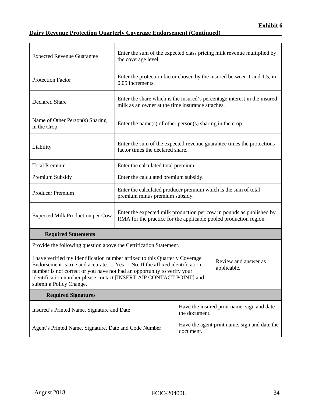| <b>Expected Revenue Guarantee</b>                                                                                                                                                                                                                                                                                                                                                        | Enter the sum of the expected class pricing milk revenue multiplied by<br>the coverage level.                                             |                                                                         |                                                                           |  |
|------------------------------------------------------------------------------------------------------------------------------------------------------------------------------------------------------------------------------------------------------------------------------------------------------------------------------------------------------------------------------------------|-------------------------------------------------------------------------------------------------------------------------------------------|-------------------------------------------------------------------------|---------------------------------------------------------------------------|--|
| <b>Protection Factor</b>                                                                                                                                                                                                                                                                                                                                                                 | 0.05 increments.                                                                                                                          | Enter the protection factor chosen by the insured between 1 and 1.5, in |                                                                           |  |
| <b>Declared Share</b>                                                                                                                                                                                                                                                                                                                                                                    | milk as an owner at the time insurance attaches.                                                                                          |                                                                         | Enter the share which is the insured's percentage interest in the insured |  |
| Name of Other Person(s) Sharing<br>in the Crop                                                                                                                                                                                                                                                                                                                                           |                                                                                                                                           | Enter the name(s) of other person(s) sharing in the crop.               |                                                                           |  |
| Liability                                                                                                                                                                                                                                                                                                                                                                                | Enter the sum of the expected revenue guarantee times the protections<br>factor times the declared share.                                 |                                                                         |                                                                           |  |
| <b>Total Premium</b>                                                                                                                                                                                                                                                                                                                                                                     | Enter the calculated total premium.                                                                                                       |                                                                         |                                                                           |  |
| Premium Subsidy                                                                                                                                                                                                                                                                                                                                                                          | Enter the calculated premium subsidy.                                                                                                     |                                                                         |                                                                           |  |
| <b>Producer Premium</b>                                                                                                                                                                                                                                                                                                                                                                  | Enter the calculated producer premium which is the sum of total<br>premium minus premium subsidy.                                         |                                                                         |                                                                           |  |
| <b>Expected Milk Production per Cow</b>                                                                                                                                                                                                                                                                                                                                                  | Enter the expected milk production per cow in pounds as published by<br>RMA for the practice for the applicable pooled production region. |                                                                         |                                                                           |  |
| <b>Required Statements</b>                                                                                                                                                                                                                                                                                                                                                               |                                                                                                                                           |                                                                         |                                                                           |  |
| Provide the following question above the Certification Statement.                                                                                                                                                                                                                                                                                                                        |                                                                                                                                           |                                                                         |                                                                           |  |
| I have verified my identification number affixed to this Quarterly Coverage<br>Review and answer as<br>Endorsement is true and accurate. $\Box$ Yes $\Box$ No. If the affixed identification<br>applicable.<br>number is not correct or you have not had an opportunity to verify your<br>identification number please contact [INSERT AIP CONTACT POINT] and<br>submit a Policy Change. |                                                                                                                                           |                                                                         |                                                                           |  |
| <b>Required Signatures</b>                                                                                                                                                                                                                                                                                                                                                               |                                                                                                                                           |                                                                         |                                                                           |  |
| Insured's Printed Name, Signature and Date                                                                                                                                                                                                                                                                                                                                               |                                                                                                                                           | Have the insured print name, sign and date<br>the document.             |                                                                           |  |
| Agent's Printed Name, Signature, Date and Code Number                                                                                                                                                                                                                                                                                                                                    |                                                                                                                                           | Have the agent print name, sign and date the<br>document.               |                                                                           |  |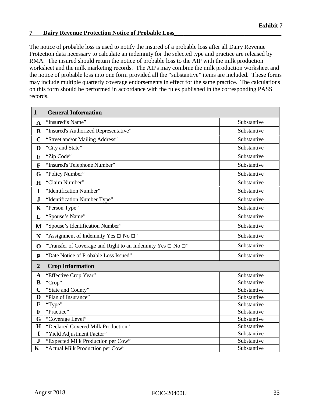# <span id="page-39-0"></span>**7 Dairy Revenue Protection Notice of Probable Loss**

The notice of probable loss is used to notify the insured of a probable loss after all Dairy Revenue Protection data necessary to calculate an indemnity for the selected type and practice are released by RMA. The insured should return the notice of probable loss to the AIP with the milk production worksheet and the milk marketing records. The AIPs may combine the milk production worksheet and the notice of probable loss into one form provided all the "substantive" items are included. These forms may include multiple quarterly coverage endorsements in effect for the same practice. The calculations on this form should be performed in accordance with the rules published in the corresponding PASS records.

| $\mathbf{1}$   | <b>General Information</b>                                             |             |
|----------------|------------------------------------------------------------------------|-------------|
| $\mathbf A$    | "Insured's Name"                                                       | Substantive |
| $\bf{B}$       | "Insured's Authorized Representative"                                  | Substantive |
| $\mathbf C$    | "Street and/or Mailing Address"                                        | Substantive |
| D              | "City and State"                                                       | Substantive |
| E              | "Zip Code"                                                             | Substantive |
| F              | "Insured's Telephone Number"                                           | Substantive |
| G              | "Policy Number"                                                        | Substantive |
| $\mathbf H$    | "Claim Number"                                                         | Substantive |
| I              | "Identification Number"                                                | Substantive |
| ${\bf J}$      | "Identification Number Type"                                           | Substantive |
| K              | "Person Type"                                                          | Substantive |
| L              | "Spouse's Name"                                                        | Substantive |
| M              | "Spouse's Identification Number"                                       | Substantive |
| N              | "Assignment of Indemnity Yes $\Box$ No $\Box$ "                        | Substantive |
| $\mathbf 0$    | "Transfer of Coverage and Right to an Indemnity Yes $\Box$ No $\Box$ " | Substantive |
| $\mathbf{P}$   | "Date Notice of Probable Loss Issued"                                  | Substantive |
| $\overline{2}$ | <b>Crop Information</b>                                                |             |
| $\mathbf A$    | "Effective Crop Year"                                                  | Substantive |
| B              | "Crop"                                                                 | Substantive |
| $\overline{C}$ | "State and County"                                                     | Substantive |
| D              | "Plan of Insurance"                                                    | Substantive |
| E              | "Type"                                                                 | Substantive |
| F              | "Practice"                                                             | Substantive |
| G              | "Coverage Level"                                                       | Substantive |
| $\mathbf H$    | "Declared Covered Milk Production"                                     | Substantive |
| $\mathbf I$    | "Yield Adjustment Factor"                                              | Substantive |
| ${\bf J}$      | "Expected Milk Production per Cow"                                     | Substantive |
| $\mathbf K$    | "Actual Milk Production per Cow"                                       | Substantive |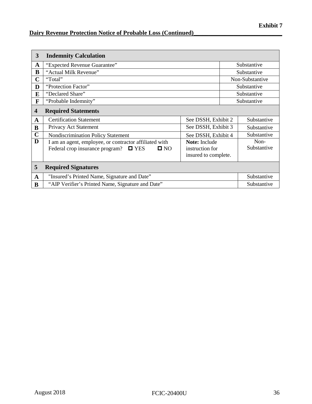# **Dairy Revenue Protection Notice of Probable Loss (Continued)\_\_\_\_\_\_\_\_\_\_\_\_\_\_\_\_\_\_\_\_\_\_\_\_\_\_\_\_\_**

| 3            | <b>Indemnity Calculation</b>                                                                                               |                                                          |                     |
|--------------|----------------------------------------------------------------------------------------------------------------------------|----------------------------------------------------------|---------------------|
| A            | "Expected Revenue Guarantee"                                                                                               |                                                          | Substantive         |
| B            | "Actual Milk Revenue"                                                                                                      |                                                          | Substantive         |
| $\mathbf C$  | "Total"                                                                                                                    |                                                          | Non-Substantive     |
| D            | "Protection Factor"                                                                                                        |                                                          | Substantive         |
| E            | "Declared Share"                                                                                                           |                                                          | Substantive         |
| $\mathbf{F}$ | "Probable Indemnity"                                                                                                       |                                                          | Substantive         |
| 4            | <b>Required Statements</b>                                                                                                 |                                                          |                     |
| A            | <b>Certification Statement</b>                                                                                             | See DSSH, Exhibit 2                                      | Substantive         |
| B            | Privacy Act Statement                                                                                                      | See DSSH, Exhibit 3                                      | Substantive         |
| $\mathbf C$  | Nondiscrimination Policy Statement                                                                                         | See DSSH, Exhibit 4                                      | Substantive         |
| D            | I am an agent, employee, or contractor affiliated with<br>Federal crop insurance program?<br>$\square$ YES<br>$\square$ NO | Note: Include<br>instruction for<br>insured to complete. | Non-<br>Substantive |
| 5            | <b>Required Signatures</b>                                                                                                 |                                                          |                     |
| A            | "Insured's Printed Name, Signature and Date"                                                                               |                                                          | Substantive         |
| B            | "AIP Verifier's Printed Name, Signature and Date"                                                                          |                                                          | Substantive         |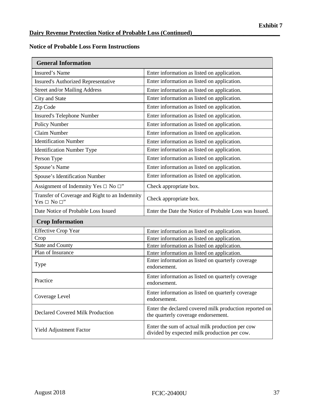# **Notice of Probable Loss Form Instructions**

| <b>General Information</b>                                               |                                                                                                 |
|--------------------------------------------------------------------------|-------------------------------------------------------------------------------------------------|
| <b>Insured's Name</b>                                                    | Enter information as listed on application.                                                     |
| <b>Insured's Authorized Representative</b>                               | Enter information as listed on application.                                                     |
| Street and/or Mailing Address                                            | Enter information as listed on application.                                                     |
| City and State                                                           | Enter information as listed on application.                                                     |
| Zip Code                                                                 | Enter information as listed on application.                                                     |
| <b>Insured's Telephone Number</b>                                        | Enter information as listed on application.                                                     |
| Policy Number                                                            | Enter information as listed on application.                                                     |
| <b>Claim Number</b>                                                      | Enter information as listed on application.                                                     |
| <b>Identification Number</b>                                             | Enter information as listed on application.                                                     |
| <b>Identification Number Type</b>                                        | Enter information as listed on application.                                                     |
| Person Type                                                              | Enter information as listed on application.                                                     |
| Spouse's Name                                                            | Enter information as listed on application.                                                     |
| Spouse's Identification Number                                           | Enter information as listed on application.                                                     |
| Assignment of Indemnity Yes $\Box$ No $\Box$ "                           | Check appropriate box.                                                                          |
| Transfer of Coverage and Right to an Indemnity<br>Yes $\Box$ No $\Box$ " | Check appropriate box.                                                                          |
| Date Notice of Probable Loss Issued                                      | Enter the Date the Notice of Probable Loss was Issued.                                          |
| <b>Crop Information</b>                                                  |                                                                                                 |
| <b>Effective Crop Year</b>                                               | Enter information as listed on application.                                                     |
| Crop                                                                     | Enter information as listed on application.                                                     |
| <b>State and County</b>                                                  | Enter information as listed on application.                                                     |
| Plan of Insurance                                                        | Enter information as listed on application.                                                     |
| Type                                                                     | Enter information as listed on quarterly coverage<br>endorsement.                               |
| Practice                                                                 | Enter information as listed on quarterly coverage<br>endorsement.                               |
| Coverage Level                                                           | Enter information as listed on quarterly coverage<br>endorsement.                               |
| <b>Declared Covered Milk Production</b>                                  | Enter the declared covered milk production reported on<br>the quarterly coverage endorsement.   |
| Yield Adjustment Factor                                                  | Enter the sum of actual milk production per cow<br>divided by expected milk production per cow. |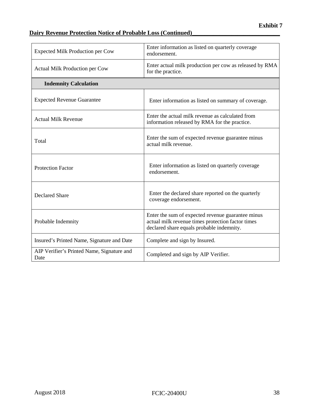# **Dairy Revenue Protection Notice of Probable Loss (Continued)\_\_\_\_\_\_\_\_\_\_\_\_\_\_\_\_\_\_\_\_\_\_\_\_\_\_\_\_\_**

| <b>Expected Milk Production per Cow</b>            | Enter information as listed on quarterly coverage<br>endorsement.                                                                                   |
|----------------------------------------------------|-----------------------------------------------------------------------------------------------------------------------------------------------------|
| Actual Milk Production per Cow                     | Enter actual milk production per cow as released by RMA<br>for the practice.                                                                        |
| <b>Indemnity Calculation</b>                       |                                                                                                                                                     |
| <b>Expected Revenue Guarantee</b>                  | Enter information as listed on summary of coverage.                                                                                                 |
| <b>Actual Milk Revenue</b>                         | Enter the actual milk revenue as calculated from<br>information released by RMA for the practice.                                                   |
| Total                                              | Enter the sum of expected revenue guarantee minus<br>actual milk revenue.                                                                           |
| <b>Protection Factor</b>                           | Enter information as listed on quarterly coverage<br>endorsement.                                                                                   |
| <b>Declared Share</b>                              | Enter the declared share reported on the quarterly<br>coverage endorsement.                                                                         |
| Probable Indemnity                                 | Enter the sum of expected revenue guarantee minus<br>actual milk revenue times protection factor times<br>declared share equals probable indemnity. |
| Insured's Printed Name, Signature and Date         | Complete and sign by Insured.                                                                                                                       |
| AIP Verifier's Printed Name, Signature and<br>Date | Completed and sign by AIP Verifier.                                                                                                                 |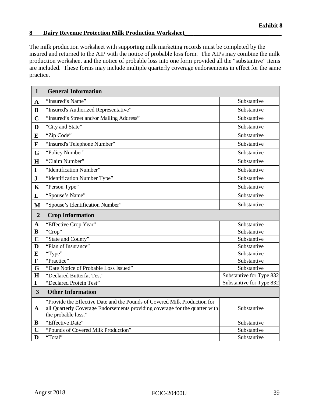## <span id="page-43-0"></span>**8 Dairy Revenue Protection Milk Production Worksheet\_\_\_\_\_\_\_\_\_\_\_\_\_\_\_\_\_\_\_\_\_\_\_\_\_\_\_\_\_\_\_\_**

The milk production worksheet with supporting milk marketing records must be completed by the insured and returned to the AIP with the notice of probable loss form. The AIPs may combine the milk production worksheet and the notice of probable loss into one form provided all the "substantive" items are included. These forms may include multiple quarterly coverage endorsements in effect for the same practice.

| $\mathbf{1}$            | <b>General Information</b>                                                                                                                                                      |                          |
|-------------------------|---------------------------------------------------------------------------------------------------------------------------------------------------------------------------------|--------------------------|
| $\mathbf{A}$            | "Insured's Name"                                                                                                                                                                | Substantive              |
| $\bf{B}$                | "Insured's Authorized Representative"                                                                                                                                           | Substantive              |
| $\mathbf C$             | "Insured's Street and/or Mailing Address"                                                                                                                                       | Substantive              |
| D                       | "City and State"                                                                                                                                                                | Substantive              |
| E                       | "Zip Code"                                                                                                                                                                      | Substantive              |
| $\mathbf{F}$            | "Insured's Telephone Number"                                                                                                                                                    | Substantive              |
| G                       | "Policy Number"                                                                                                                                                                 | Substantive              |
| H                       | "Claim Number"                                                                                                                                                                  | Substantive              |
| $\mathbf I$             | "Identification Number"                                                                                                                                                         | Substantive              |
| $\mathbf J$             | "Identification Number Type"                                                                                                                                                    | Substantive              |
| $\mathbf K$             | "Person Type"                                                                                                                                                                   | Substantive              |
| L                       | "Spouse's Name"                                                                                                                                                                 | Substantive              |
| M                       | "Spouse's Identification Number"                                                                                                                                                | Substantive              |
| $\overline{2}$          | <b>Crop Information</b>                                                                                                                                                         |                          |
| $\mathbf A$             | "Effective Crop Year"                                                                                                                                                           | Substantive              |
| B                       | "Crop"                                                                                                                                                                          | Substantive              |
| $\overline{\mathbf{C}}$ | "State and County"                                                                                                                                                              | Substantive              |
| D                       | "Plan of Insurance"                                                                                                                                                             | Substantive              |
| E                       | "Type"                                                                                                                                                                          | Substantive              |
| F                       | "Practice"                                                                                                                                                                      | Substantive              |
| G                       | "Date Notice of Probable Loss Issued"                                                                                                                                           | Substantive              |
| H                       | "Declared Butterfat Test"                                                                                                                                                       | Substantive for Type 832 |
| $\mathbf I$             | "Declared Protein Test"                                                                                                                                                         | Substantive for Type 832 |
| $\overline{\mathbf{3}}$ | <b>Other Information</b>                                                                                                                                                        |                          |
| $\mathbf{A}$            | "Provide the Effective Date and the Pounds of Covered Milk Production for<br>all Quarterly Coverage Endorsements providing coverage for the quarter with<br>the probable loss." | Substantive              |
| B                       | "Effective Date"                                                                                                                                                                | Substantive              |
| $\mathbf C$             | "Pounds of Covered Milk Production"                                                                                                                                             | Substantive              |
| D                       | "Total"                                                                                                                                                                         | Substantive              |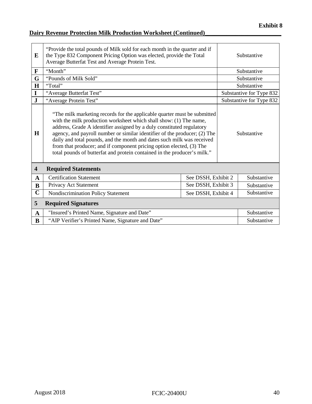# **Dairy Revenue Protection Milk Production Worksheet (Continued)\_\_\_\_\_\_\_\_\_\_\_\_\_\_\_\_\_\_\_\_\_\_\_\_\_**

| E                       | "Provide the total pounds of Milk sold for each month in the quarter and if<br>the Type 832 Component Pricing Option was elected, provide the Total<br>Average Butterfat Test and Average Protein Test.                                                                                                                                                                                                                                                                                                                            |                     |             | Substantive              |
|-------------------------|------------------------------------------------------------------------------------------------------------------------------------------------------------------------------------------------------------------------------------------------------------------------------------------------------------------------------------------------------------------------------------------------------------------------------------------------------------------------------------------------------------------------------------|---------------------|-------------|--------------------------|
| $\mathbf{F}$            | "Month"                                                                                                                                                                                                                                                                                                                                                                                                                                                                                                                            |                     |             | Substantive              |
| G                       | "Pounds of Milk Sold"                                                                                                                                                                                                                                                                                                                                                                                                                                                                                                              |                     |             | Substantive              |
| H                       | "Total"                                                                                                                                                                                                                                                                                                                                                                                                                                                                                                                            |                     |             | Substantive              |
| I                       | "Average Butterfat Test"                                                                                                                                                                                                                                                                                                                                                                                                                                                                                                           |                     |             | Substantive for Type 832 |
| $\mathbf{J}$            | "Average Protein Test"                                                                                                                                                                                                                                                                                                                                                                                                                                                                                                             |                     |             | Substantive for Type 832 |
| H                       | "The milk marketing records for the applicable quarter must be submitted<br>with the milk production worksheet which shall show: (1) The name,<br>address, Grade A identifier assigned by a duly constituted regulatory<br>agency, and payroll number or similar identifier of the producer; (2) The<br>daily and total pounds, and the month and dates such milk was received<br>from that producer; and if component pricing option elected, (3) The<br>total pounds of butterfat and protein contained in the producer's milk." |                     |             | Substantive              |
| $\overline{\mathbf{4}}$ | <b>Required Statements</b>                                                                                                                                                                                                                                                                                                                                                                                                                                                                                                         |                     |             |                          |
| $\mathbf{A}$            | <b>Certification Statement</b>                                                                                                                                                                                                                                                                                                                                                                                                                                                                                                     | See DSSH, Exhibit 2 |             | Substantive              |
| B                       | Privacy Act Statement                                                                                                                                                                                                                                                                                                                                                                                                                                                                                                              | See DSSH, Exhibit 3 |             | Substantive              |
| $\mathbf C$             | Nondiscrimination Policy Statement<br>See DSSH, Exhibit 4                                                                                                                                                                                                                                                                                                                                                                                                                                                                          |                     | Substantive |                          |
| 5                       | <b>Required Signatures</b>                                                                                                                                                                                                                                                                                                                                                                                                                                                                                                         |                     |             |                          |
| $\mathbf A$             | "Insured's Printed Name, Signature and Date"                                                                                                                                                                                                                                                                                                                                                                                                                                                                                       |                     |             | Substantive              |
| B                       | "AIP Verifier's Printed Name, Signature and Date"                                                                                                                                                                                                                                                                                                                                                                                                                                                                                  |                     |             | Substantive              |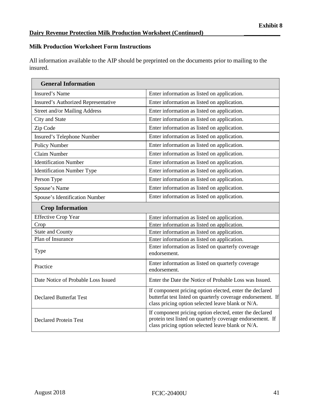# **Milk Production Worksheet Form Instructions**

All information available to the AIP should be preprinted on the documents prior to mailing to the insured.

| <b>General Information</b>           |                                                                                                                                                                             |
|--------------------------------------|-----------------------------------------------------------------------------------------------------------------------------------------------------------------------------|
| Insured's Name                       | Enter information as listed on application.                                                                                                                                 |
| Insured's Authorized Representative  | Enter information as listed on application.                                                                                                                                 |
| <b>Street and/or Mailing Address</b> | Enter information as listed on application.                                                                                                                                 |
| City and State                       | Enter information as listed on application.                                                                                                                                 |
| Zip Code                             | Enter information as listed on application.                                                                                                                                 |
| Insured's Telephone Number           | Enter information as listed on application.                                                                                                                                 |
| <b>Policy Number</b>                 | Enter information as listed on application.                                                                                                                                 |
| <b>Claim Number</b>                  | Enter information as listed on application.                                                                                                                                 |
| <b>Identification Number</b>         | Enter information as listed on application.                                                                                                                                 |
| <b>Identification Number Type</b>    | Enter information as listed on application.                                                                                                                                 |
| Person Type                          | Enter information as listed on application.                                                                                                                                 |
| Spouse's Name                        | Enter information as listed on application.                                                                                                                                 |
| Spouse's Identification Number       | Enter information as listed on application.                                                                                                                                 |
| <b>Crop Information</b>              |                                                                                                                                                                             |
| <b>Effective Crop Year</b>           | Enter information as listed on application.                                                                                                                                 |
| Crop                                 | Enter information as listed on application.                                                                                                                                 |
| <b>State and County</b>              | Enter information as listed on application.                                                                                                                                 |
| Plan of Insurance                    | Enter information as listed on application.                                                                                                                                 |
| <b>Type</b>                          | Enter information as listed on quarterly coverage<br>endorsement.                                                                                                           |
| Practice                             | Enter information as listed on quarterly coverage<br>endorsement.                                                                                                           |
| Date Notice of Probable Loss Issued  | Enter the Date the Notice of Probable Loss was Issued.                                                                                                                      |
| <b>Declared Butterfat Test</b>       | If component pricing option elected, enter the declared<br>butterfat test listed on quarterly coverage endorsement. If<br>class pricing option selected leave blank or N/A. |
| <b>Declared Protein Test</b>         | If component pricing option elected, enter the declared<br>protein test listed on quarterly coverage endorsement. If<br>class pricing option selected leave blank or N/A.   |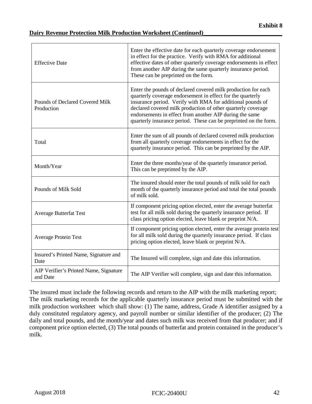## **Dairy Revenue Protection Milk Production Worksheet (Continued)**

| <b>Effective Date</b>                              | Enter the effective date for each quarterly coverage endorsement<br>in effect for the practice. Verify with RMA for additional<br>effective dates of other quarterly coverage endorsements in effect<br>from another AIP during the same quarterly insurance period.<br>These can be preprinted on the form.                                                                             |
|----------------------------------------------------|------------------------------------------------------------------------------------------------------------------------------------------------------------------------------------------------------------------------------------------------------------------------------------------------------------------------------------------------------------------------------------------|
| Pounds of Declared Covered Milk<br>Production      | Enter the pounds of declared covered milk production for each<br>quarterly coverage endorsement in effect for the quarterly<br>insurance period. Verify with RMA for additional pounds of<br>declared covered milk production of other quarterly coverage<br>endorsements in effect from another AIP during the same<br>quarterly insurance period. These can be preprinted on the form. |
| Total                                              | Enter the sum of all pounds of declared covered milk production<br>from all quarterly coverage endorsements in effect for the<br>quarterly insurance period. This can be preprinted by the AIP.                                                                                                                                                                                          |
| Month/Year                                         | Enter the three months/year of the quarterly insurance period.<br>This can be preprinted by the AIP.                                                                                                                                                                                                                                                                                     |
| Pounds of Milk Sold                                | The insured should enter the total pounds of milk sold for each<br>month of the quarterly insurance period and total the total pounds<br>of milk sold.                                                                                                                                                                                                                                   |
| <b>Average Butterfat Test</b>                      | If component pricing option elected, enter the average butterfat<br>test for all milk sold during the quarterly insurance period. If<br>class pricing option elected, leave blank or preprint N/A.                                                                                                                                                                                       |
| <b>Average Protein Test</b>                        | If component pricing option elected, enter the average protein test<br>for all milk sold during the quarterly insurance period. If class<br>pricing option elected, leave blank or preprint N/A.                                                                                                                                                                                         |
| Insured's Printed Name, Signature and<br>Date      | The Insured will complete, sign and date this information.                                                                                                                                                                                                                                                                                                                               |
| AIP Verifier's Printed Name, Signature<br>and Date | The AIP Verifier will complete, sign and date this information.                                                                                                                                                                                                                                                                                                                          |

The insured must include the following records and return to the AIP with the milk marketing report; The milk marketing records for the applicable quarterly insurance period must be submitted with the milk production worksheet which shall show: (1) The name, address, Grade A identifier assigned by a duly constituted regulatory agency, and payroll number or similar identifier of the producer; (2) The daily and total pounds, and the month/year and dates such milk was received from that producer; and if component price option elected, (3) The total pounds of butterfat and protein contained in the producer's milk.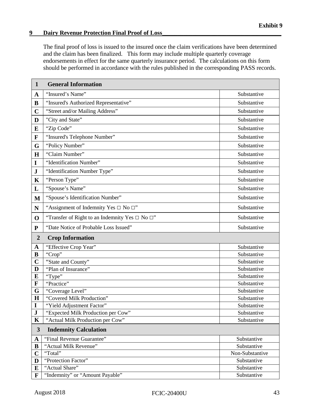# <span id="page-47-0"></span>**9** Dairy Revenue Protection Final Proof of Loss

The final proof of loss is issued to the insured once the claim verifications have been determined and the claim has been finalized. This form may include multiple quarterly coverage endorsements in effect for the same quarterly insurance period. The calculations on this form should be performed in accordance with the rules published in the corresponding PASS records.

| $\mathbf{1}$   | <b>General Information</b>                                |                 |
|----------------|-----------------------------------------------------------|-----------------|
| $\mathbf A$    | "Insured's Name"                                          | Substantive     |
| B              | "Insured's Authorized Representative"                     | Substantive     |
| $\mathbf C$    | "Street and/or Mailing Address"                           | Substantive     |
| D              | "City and State"                                          | Substantive     |
| E              | "Zip Code"                                                | Substantive     |
| $\mathbf F$    | "Insured's Telephone Number"                              | Substantive     |
| G              | "Policy Number"                                           | Substantive     |
| H              | "Claim Number"                                            | Substantive     |
| I              | "Identification Number"                                   | Substantive     |
| ${\bf J}$      | "Identification Number Type"                              | Substantive     |
| $\mathbf K$    | "Person Type"                                             | Substantive     |
| L              | "Spouse's Name"                                           | Substantive     |
| $\mathbf{M}$   | 'Spouse's Identification Number"                          | Substantive     |
| N              | "Assignment of Indemnity Yes $\Box$ No $\Box$ "           | Substantive     |
| $\mathbf 0$    | "Transfer of Right to an Indemnity Yes $\Box$ No $\Box$ " | Substantive     |
| ${\bf P}$      | "Date Notice of Probable Loss Issued"                     | Substantive     |
| $\overline{2}$ | <b>Crop Information</b>                                   |                 |
| $\mathbf A$    | "Effective Crop Year"                                     | Substantive     |
| B              | "Crop"                                                    | Substantive     |
| $\overline{C}$ | "State and County"                                        | Substantive     |
| D              | "Plan of Insurance"                                       | Substantive     |
| E              | "Type"                                                    | Substantive     |
| $\mathbf F$    | "Practice"                                                | Substantive     |
| G              | "Coverage Level"                                          | Substantive     |
| $\mathbf H$    | "Covered Milk Production"                                 | Substantive     |
| $\mathbf I$    | "Yield Adjustment Factor"                                 | Substantive     |
| ${\bf J}$      | "Expected Milk Production per Cow"                        | Substantive     |
| $\mathbf K$    | "Actual Milk Production per Cow"                          | Substantive     |
| $\mathbf{3}$   | <b>Indemnity Calculation</b>                              |                 |
| $\mathbf A$    | "Final Revenue Guarantee"                                 | Substantive     |
| B              | "Actual Milk Revenue"                                     | Substantive     |
| $\mathbf C$    | "Total"                                                   | Non-Substantive |
| D              | "Protection Factor"                                       | Substantive     |
| E              | "Actual Share"                                            | Substantive     |
| $\mathbf F$    | "Indemnity" or "Amount Payable"                           | Substantive     |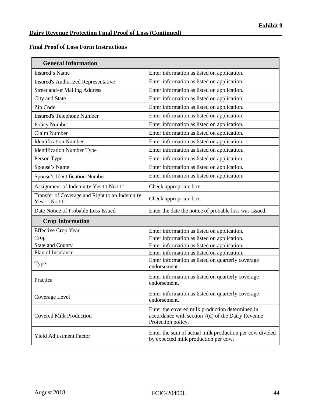$\overline{\phantom{0}}$ 

# **Final Proof of Loss Form Instructions**

| <b>General Information</b>                                               |                                                                                                                              |  |
|--------------------------------------------------------------------------|------------------------------------------------------------------------------------------------------------------------------|--|
| <b>Insured's Name</b>                                                    | Enter information as listed on application.                                                                                  |  |
| <b>Insured's Authorized Representative</b>                               | Enter information as listed on application.                                                                                  |  |
| <b>Street and/or Mailing Address</b>                                     | Enter information as listed on application.                                                                                  |  |
| City and State                                                           | Enter information as listed on application.                                                                                  |  |
| Zip Code                                                                 | Enter information as listed on application.                                                                                  |  |
| <b>Insured's Telephone Number</b>                                        | Enter information as listed on application.                                                                                  |  |
| Policy Number                                                            | Enter information as listed on application.                                                                                  |  |
| <b>Claim Number</b>                                                      | Enter information as listed on application.                                                                                  |  |
| <b>Identification Number</b>                                             | Enter information as listed on application.                                                                                  |  |
| <b>Identification Number Type</b>                                        | Enter information as listed on application.                                                                                  |  |
| Person Type                                                              | Enter information as listed on application.                                                                                  |  |
| Spouse's Name                                                            | Enter information as listed on application.                                                                                  |  |
| Spouse's Identification Number                                           | Enter information as listed on application.                                                                                  |  |
| Assignment of Indemnity Yes $\Box$ No $\Box$ "                           | Check appropriate box.                                                                                                       |  |
| Transfer of Coverage and Right to an Indemnity<br>Yes $\Box$ No $\Box$ " | Check appropriate box.                                                                                                       |  |
| Date Notice of Probable Loss Issued                                      | Enter the date the notice of probable loss was Issued.                                                                       |  |
| <b>Crop Information</b>                                                  |                                                                                                                              |  |
| <b>Effective Crop Year</b>                                               | Enter information as listed on application.                                                                                  |  |
| Crop                                                                     | Enter information as listed on application.                                                                                  |  |
| <b>State and County</b>                                                  | Enter information as listed on application.                                                                                  |  |
| Plan of Insurance                                                        | Enter information as listed on application.                                                                                  |  |
| Type                                                                     | Enter information as listed on quarterly coverage<br>endorsement.                                                            |  |
| Practice                                                                 | Enter information as listed on quarterly coverage<br>endorsement.                                                            |  |
| Coverage Level                                                           | Enter information as listed on quarterly coverage<br>endorsement.                                                            |  |
| <b>Covered Milk Production</b>                                           | Enter the covered milk production determined in<br>accordance with section $7(d)$ of the Dairy Revenue<br>Protection policy. |  |
| Yield Adjustment Factor                                                  | Enter the sum of actual milk production per cow divided<br>by expected milk production per cow.                              |  |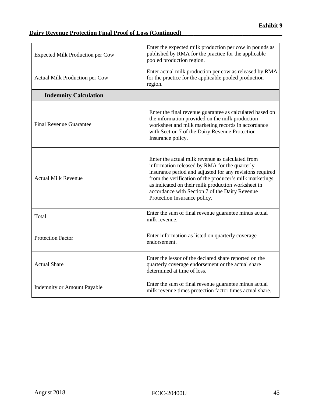# **Dairy Revenue Protection Final Proof of Loss (Continued)\_\_\_\_\_\_\_\_\_\_\_\_\_\_\_\_\_\_\_\_\_\_\_\_\_\_\_\_\_\_\_\_\_**

| <b>Expected Milk Production per Cow</b> | Enter the expected milk production per cow in pounds as<br>published by RMA for the practice for the applicable<br>pooled production region.                                                                                                                                                                                                                     |  |
|-----------------------------------------|------------------------------------------------------------------------------------------------------------------------------------------------------------------------------------------------------------------------------------------------------------------------------------------------------------------------------------------------------------------|--|
| Actual Milk Production per Cow          | Enter actual milk production per cow as released by RMA<br>for the practice for the applicable pooled production<br>region.                                                                                                                                                                                                                                      |  |
| <b>Indemnity Calculation</b>            |                                                                                                                                                                                                                                                                                                                                                                  |  |
| <b>Final Revenue Guarantee</b>          | Enter the final revenue guarantee as calculated based on<br>the information provided on the milk production<br>worksheet and milk marketing records in accordance<br>with Section 7 of the Dairy Revenue Protection<br>Insurance policy.                                                                                                                         |  |
| <b>Actual Milk Revenue</b>              | Enter the actual milk revenue as calculated from<br>information released by RMA for the quarterly<br>insurance period and adjusted for any revisions required<br>from the verification of the producer's milk marketings<br>as indicated on their milk production worksheet in<br>accordance with Section 7 of the Dairy Revenue<br>Protection Insurance policy. |  |
| Total                                   | Enter the sum of final revenue guarantee minus actual<br>milk revenue.                                                                                                                                                                                                                                                                                           |  |
| <b>Protection Factor</b>                | Enter information as listed on quarterly coverage<br>endorsement.                                                                                                                                                                                                                                                                                                |  |
| <b>Actual Share</b>                     | Enter the lessor of the declared share reported on the<br>quarterly coverage endorsement or the actual share<br>determined at time of loss.                                                                                                                                                                                                                      |  |
| <b>Indemnity or Amount Payable</b>      | Enter the sum of final revenue guarantee minus actual<br>milk revenue times protection factor times actual share.                                                                                                                                                                                                                                                |  |